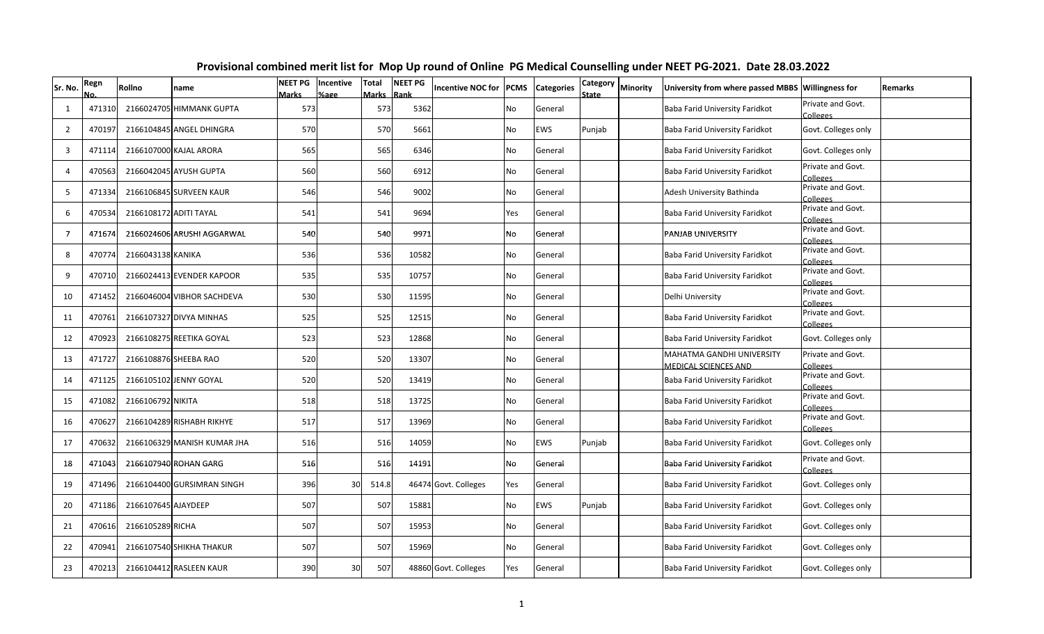| Sr. No.        | Regn   | Rollno              | name                        | <b>NEET PG</b><br>Marks | Incentive<br>%age | <b>Total</b><br>Marks | <b>NEET PG</b><br>Rank | <b>Incentive NOC for</b> | <b>PCMS</b> | <b>Categories</b> | <b>Category</b><br>State | <b>Minority</b> | University from where passed MBBS Willingness for        |                                      | <b>Remarks</b> |
|----------------|--------|---------------------|-----------------------------|-------------------------|-------------------|-----------------------|------------------------|--------------------------|-------------|-------------------|--------------------------|-----------------|----------------------------------------------------------|--------------------------------------|----------------|
| $\mathbf{1}$   | 471310 | 2166024705          | HIMMANK GUPTA               | 573                     |                   | 573                   | 5362                   |                          | No          | General           |                          |                 | Baba Farid University Faridkot                           | Private and Govt.<br><b>Colleges</b> |                |
| $\overline{2}$ | 470197 |                     | 2166104845 ANGEL DHINGRA    | <b>570</b>              |                   | 570                   | 5661                   |                          | No          | EWS               | Punjab                   |                 | Baba Farid University Faridkot                           | Govt. Colleges only                  |                |
| 3              | 471114 |                     | 2166107000 KAJAL ARORA      | 565                     |                   | 565                   | 6346                   |                          | No          | General           |                          |                 | Baba Farid University Faridkot                           | Govt. Colleges only                  |                |
| 4              | 470563 |                     | 2166042045 AYUSH GUPTA      | 560                     |                   | 560                   | 6912                   |                          | No.         | General           |                          |                 | Baba Farid University Faridkot                           | Private and Govt.<br>Colleges        |                |
| 5              | 471334 |                     | 2166106845 SURVEEN KAUR     | 546                     |                   | 546                   | 9002                   |                          | No          | General           |                          |                 | Adesh University Bathinda                                | Private and Govt.<br>Colleges        |                |
| 6              | 470534 |                     | 2166108172 ADITI TAYAL      | 541                     |                   | 541                   | 9694                   |                          | Yes         | General           |                          |                 | Baba Farid University Faridkot                           | Private and Govt.<br>Colleges        |                |
| $\overline{7}$ | 471674 |                     | 2166024606 ARUSHI AGGARWAL  | 540                     |                   | 540                   | 9971                   |                          | No          | General           |                          |                 | PANJAB UNIVERSITY                                        | Private and Govt.<br>Colleges        |                |
| 8              | 470774 | 2166043138 KANIKA   |                             | 536                     |                   | 536                   | 10582                  |                          | No          | General           |                          |                 | Baba Farid University Faridkot                           | Private and Govt.<br>Colleges        |                |
| 9              | 470710 |                     | 2166024413 EVENDER KAPOOR   | 535                     |                   | 535                   | 10757                  |                          | No          | General           |                          |                 | Baba Farid University Faridkot                           | Private and Govt.<br>Colleges        |                |
| 10             | 471452 |                     | 2166046004 VIBHOR SACHDEVA  | 530                     |                   | 530                   | 11595                  |                          | No          | General           |                          |                 | Delhi University                                         | Private and Govt.<br>Colleges        |                |
| 11             | 470761 |                     | 2166107327 DIVYA MINHAS     | 525                     |                   | 525                   | 12515                  |                          | No          | General           |                          |                 | Baba Farid University Faridkot                           | Private and Govt.<br>Colleges        |                |
| 12             | 470923 |                     | 2166108275 REETIKA GOYAL    | 523                     |                   | 523                   | 12868                  |                          | No          | General           |                          |                 | Baba Farid University Faridkot                           | Govt. Colleges only                  |                |
| 13             | 471727 |                     | 2166108876 SHEEBA RAO       | 520                     |                   | 520                   | 13307                  |                          | No          | General           |                          |                 | MAHATMA GANDHI UNIVERSITY<br><b>MEDICAL SCIENCES AND</b> | Private and Govt.<br><b>Colleges</b> |                |
| 14             | 471125 |                     | 2166105102 JENNY GOYAL      | 520                     |                   | 520                   | 13419                  |                          | No          | General           |                          |                 | Baba Farid University Faridkot                           | Private and Govt.<br>Colleges        |                |
| 15             | 471082 | 2166106792 NIKITA   |                             | 518                     |                   | 518                   | 13725                  |                          | No.         | General           |                          |                 | Baba Farid University Faridkot                           | Private and Govt.<br>Colleges        |                |
| 16             | 470627 |                     | 2166104289 RISHABH RIKHYE   | 517                     |                   | 517                   | 13969                  |                          | No          | General           |                          |                 | Baba Farid University Faridkot                           | Private and Govt.<br>Colleges        |                |
| 17             | 470632 |                     | 2166106329 MANISH KUMAR JHA | 516                     |                   | 516                   | 14059                  |                          | No          | EWS               | Punjab                   |                 | Baba Farid University Faridkot                           | Govt. Colleges only                  |                |
| 18             | 471043 |                     | 2166107940 ROHAN GARG       | 516                     |                   | 516                   | 14191                  |                          | No          | General           |                          |                 | Baba Farid University Faridkot                           | Private and Govt.<br>Colleges        |                |
| 19             | 471496 |                     | 2166104400 GURSIMRAN SINGH  | 396                     | 30                | 514.8                 |                        | 46474 Govt. Colleges     | Yes         | General           |                          |                 | Baba Farid University Faridkot                           | Govt. Colleges only                  |                |
| 20             | 471186 | 2166107645 AJAYDEEP |                             | 507                     |                   | 507                   | 15881                  |                          | No          | EWS               | Punjab                   |                 | Baba Farid University Faridkot                           | Govt. Colleges only                  |                |
| 21             | 470616 | 2166105289 RICHA    |                             | 507                     |                   | 507                   | 15953                  |                          | No          | General           |                          |                 | Baba Farid University Faridkot                           | Govt. Colleges only                  |                |
| 22             | 470941 |                     | 2166107540 SHIKHA THAKUR    | 507                     |                   | 507                   | 15969                  |                          | No          | General           |                          |                 | Baba Farid University Faridkot                           | Govt. Colleges only                  |                |
| 23             | 470213 |                     | 2166104412 RASLEEN KAUR     | 390                     | 30                | 507                   |                        | 48860 Govt. Colleges     | Yes         | General           |                          |                 | Baba Farid University Faridkot                           | Govt. Colleges only                  |                |

## **Provisional combined merit list for Mop Up round of Online PG Medical Counselling under NEET PG-2021. Date 28.03.2022**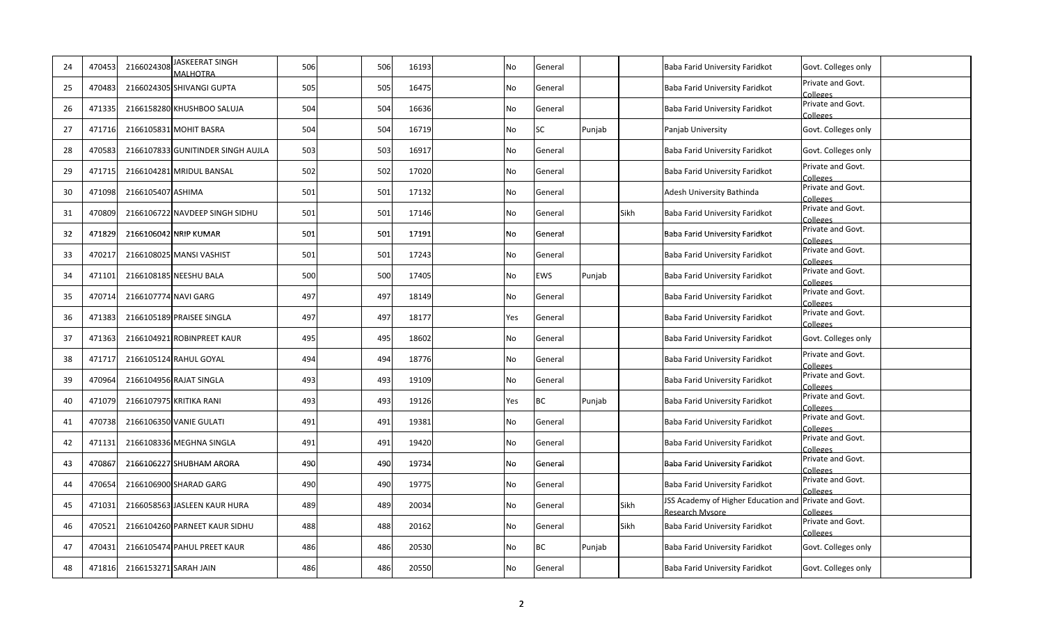| 24 | 470453 | 2166024308           | JASKEERAT SINGH<br><b>MALHOTRA</b> | 506 | 506 | 16193 | No        | General   |        |      | Baba Farid University Faridkot                                           | Govt. Colleges only                  |
|----|--------|----------------------|------------------------------------|-----|-----|-------|-----------|-----------|--------|------|--------------------------------------------------------------------------|--------------------------------------|
| 25 | 470483 |                      | 2166024305 SHIVANGI GUPTA          | 505 | 505 | 16475 | No        | General   |        |      | Baba Farid University Faridkot                                           | Private and Govt.<br><b>Colleges</b> |
| 26 | 471335 |                      | 2166158280 KHUSHBOO SALUJA         | 504 | 504 | 16636 | No        | General   |        |      | Baba Farid University Faridkot                                           | Private and Govt.<br>Colleges        |
| 27 | 471716 |                      | 2166105831 MOHIT BASRA             | 504 | 504 | 16719 | No        | <b>SC</b> | Punjab |      | Panjab University                                                        | Govt. Colleges only                  |
| 28 | 470583 |                      | 2166107833 GUNITINDER SINGH AUJLA  | 503 | 503 | 16917 | No        | General   |        |      | Baba Farid University Faridkot                                           | Govt. Colleges only                  |
| 29 | 471715 |                      | 2166104281 MRIDUL BANSAL           | 502 | 502 | 17020 | <b>No</b> | General   |        |      | Baba Farid University Faridkot                                           | Private and Govt.<br>Colleges        |
| 30 | 471098 | 2166105407 ASHIMA    |                                    | 501 | 501 | 17132 | <b>No</b> | General   |        |      | Adesh University Bathinda                                                | Private and Govt.<br>Colleges        |
| 31 | 47080  |                      | 2166106722 NAVDEEP SINGH SIDHU     | 501 | 501 | 17146 | <b>No</b> | General   |        | Sikh | Baba Farid University Faridkot                                           | Private and Govt.<br><b>Colleges</b> |
| 32 | 47182  |                      | 2166106042 NRIP KUMAR              | 501 | 501 | 17191 | No        | General   |        |      | Baba Farid University Faridkot                                           | Private and Govt.<br>Colleges        |
| 33 | 470217 |                      | 2166108025 MANSI VASHIST           | 501 | 501 | 17243 | <b>No</b> | General   |        |      | Baba Farid University Faridkot                                           | Private and Govt.<br>Colleges        |
| 34 | 471101 |                      | 2166108185 NEESHU BALA             | 500 | 500 | 17405 | <b>No</b> | EWS       | Punjab |      | Baba Farid University Faridkot                                           | Private and Govt.<br>Colleges        |
| 35 | 470714 | 2166107774 NAVI GARG |                                    | 497 | 497 | 18149 | <b>No</b> | General   |        |      | Baba Farid University Faridkot                                           | Private and Govt.<br>Colleges        |
| 36 | 471383 |                      | 2166105189 PRAISEE SINGLA          | 497 | 497 | 18177 | Yes       | General   |        |      | Baba Farid University Faridkot                                           | Private and Govt.<br>Colleges        |
| 37 | 471363 |                      | 2166104921 ROBINPREET KAUR         | 495 | 495 | 18602 | No        | General   |        |      | Baba Farid University Faridkot                                           | Govt. Colleges only                  |
| 38 | 471717 |                      | 2166105124 RAHUL GOYAL             | 494 | 494 | 18776 | No        | General   |        |      | Baba Farid University Faridkot                                           | Private and Govt.<br>Colleges        |
| 39 | 470964 |                      | 2166104956 RAJAT SINGLA            | 493 | 493 | 19109 | No        | General   |        |      | Baba Farid University Faridkot                                           | Private and Govt.<br>Colleges        |
| 40 | 47107  |                      | 2166107975 KRITIKA RANI            | 493 | 493 | 19126 | Yes       | <b>BC</b> | Punjab |      | Baba Farid University Faridkot                                           | Private and Govt.<br>Colleges        |
| 41 | 470738 |                      | 2166106350 VANIE GULATI            | 491 | 491 | 19381 | No        | General   |        |      | Baba Farid University Faridkot                                           | Private and Govt.<br>Colleges        |
| 42 | 471131 |                      | 2166108336 MEGHNA SINGLA           | 491 | 491 | 19420 | <b>No</b> | General   |        |      | Baba Farid University Faridkot                                           | Private and Govt.<br>Colleges        |
| 43 | 470867 |                      | 2166106227 SHUBHAM ARORA           | 490 | 490 | 19734 | <b>No</b> | General   |        |      | Baba Farid University Faridkot                                           | Private and Govt.<br>Colleges        |
| 44 | 47065  |                      | 2166106900 SHARAD GARG             | 490 | 490 | 19775 | No        | General   |        |      | Baba Farid University Faridkot                                           | Private and Govt.<br>Colleges        |
| 45 | 471031 |                      | 2166058563 JASLEEN KAUR HURA       | 489 | 489 | 20034 | <b>No</b> | General   |        | Sikh | JSS Academy of Higher Education and Private and Govt.<br>Research Mysore | Colleges                             |
| 46 | 470521 |                      | 2166104260 PARNEET KAUR SIDHU      | 488 | 488 | 20162 | No        | General   |        | Sikh | Baba Farid University Faridkot                                           | Private and Govt.<br>Colleges        |
| 47 | 470431 |                      | 2166105474 PAHUL PREET KAUR        | 486 | 486 | 20530 | No        | ВC        | Punjab |      | Baba Farid University Faridkot                                           | Govt. Colleges only                  |
| 48 | 471816 |                      | 2166153271 SARAH JAIN              | 486 | 486 | 20550 | No        | General   |        |      | Baba Farid University Faridkot                                           | Govt. Colleges only                  |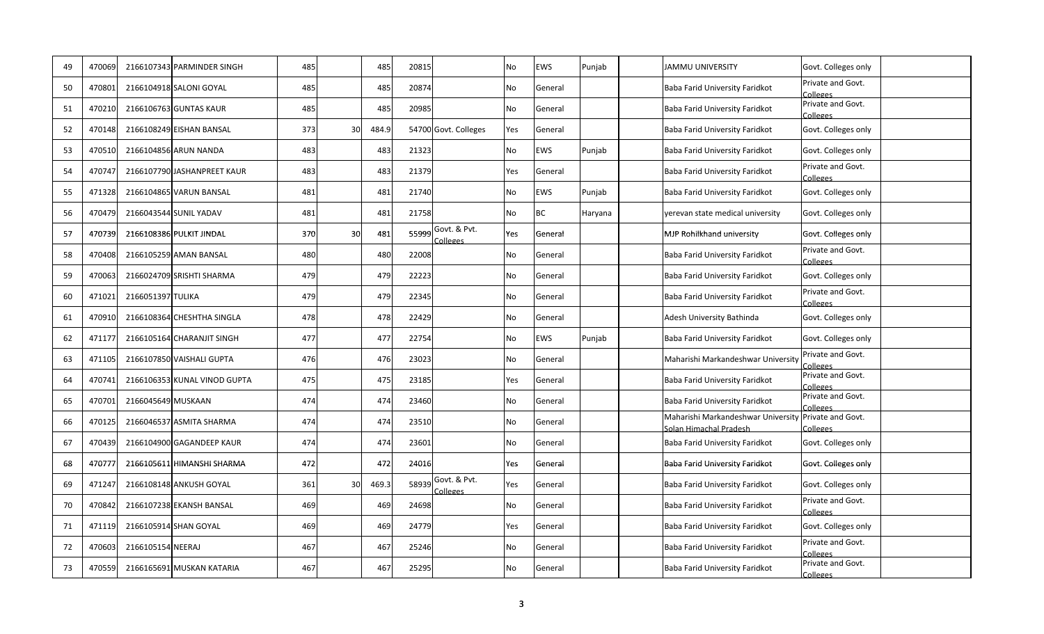| 49 | 470069 |                    | 2166107343 PARMINDER SINGH   | 485 |    | 485   | 20815 |                          | No        | EWS     | Punjab  | <b>JAMMU UNIVERSITY</b>                                                        | Govt. Colleges only           |
|----|--------|--------------------|------------------------------|-----|----|-------|-------|--------------------------|-----------|---------|---------|--------------------------------------------------------------------------------|-------------------------------|
| 50 | 470801 |                    | 2166104918 SALONI GOYAL      | 485 |    | 485   | 20874 |                          | No        | General |         | Baba Farid University Faridkot                                                 | Private and Govt.<br>Colleges |
| 51 | 470210 |                    | 2166106763 GUNTAS KAUR       | 485 |    | 485   | 20985 |                          | <b>No</b> | General |         | Baba Farid University Faridkot                                                 | Private and Govt.<br>Colleges |
| 52 | 470148 |                    | 2166108249 EISHAN BANSAL     | 373 | 30 | 484.9 |       | 54700 Govt. Colleges     | Yes       | General |         | Baba Farid University Faridkot                                                 | Govt. Colleges only           |
| 53 | 47051  |                    | 2166104856 ARUN NANDA        | 483 |    | 483   | 21323 |                          | <b>No</b> | EWS     | Punjab  | Baba Farid University Faridkot                                                 | Govt. Colleges only           |
| 54 | 47074  |                    | 2166107790 JASHANPREET KAUR  | 483 |    | 483   | 21379 |                          | Yes       | General |         | Baba Farid University Faridkot                                                 | Private and Govt.<br>Colleges |
| 55 | 471328 |                    | 2166104865 VARUN BANSAL      | 481 |    | 481   | 21740 |                          | <b>No</b> | EWS     | Punjab  | Baba Farid University Faridkot                                                 | Govt. Colleges only           |
| 56 | 470479 |                    | 2166043544 SUNIL YADAV       | 481 |    | 481   | 21758 |                          | <b>No</b> | ВC      | Haryana | yerevan state medical university                                               | Govt. Colleges only           |
| 57 | 470739 |                    | 2166108386 PULKIT JINDAL     | 370 | 30 | 481   | 55999 | Govt. & Pvt.<br>Colleges | Yes       | General |         | MJP Rohilkhand university                                                      | Govt. Colleges only           |
| 58 | 470408 |                    | 2166105259 AMAN BANSAL       | 480 |    | 480   | 22008 |                          | <b>No</b> | General |         | Baba Farid University Faridkot                                                 | Private and Govt.<br>Colleges |
| 59 | 470063 |                    | 2166024709 SRISHTI SHARMA    | 479 |    | 479   | 22223 |                          | <b>No</b> | General |         | Baba Farid University Faridkot                                                 | Govt. Colleges only           |
| 60 | 471021 | 2166051397 TULIKA  |                              | 479 |    | 479   | 22345 |                          | <b>No</b> | General |         | Baba Farid University Faridkot                                                 | Private and Govt.<br>Colleges |
| 61 | 470910 |                    | 2166108364 CHESHTHA SINGLA   | 478 |    | 478   | 22429 |                          | <b>No</b> | General |         | Adesh University Bathinda                                                      | Govt. Colleges only           |
| 62 | 47117  |                    | 2166105164 CHARANJIT SINGH   | 477 |    | 477   | 22754 |                          | No        | EWS     | Punjab  | Baba Farid University Faridkot                                                 | Govt. Colleges only           |
| 63 | 471105 |                    | 2166107850 VAISHALI GUPTA    | 476 |    | 476   | 23023 |                          | No        | General |         | Maharishi Markandeshwar Universit                                              | Private and Govt.<br>Colleges |
| 64 | 470741 |                    | 2166106353 KUNAL VINOD GUPTA | 475 |    | 475   | 23185 |                          | Yes       | General |         | Baba Farid University Faridkot                                                 | Private and Govt.<br>Colleges |
| 65 | 470701 | 2166045649 MUSKAAN |                              | 474 |    | 474   | 23460 |                          | No        | General |         | Baba Farid University Faridkot                                                 | Private and Govt.<br>Colleges |
| 66 | 470125 |                    | 2166046537 ASMITA SHARMA     | 474 |    | 474   | 23510 |                          | No        | General |         | Maharishi Markandeshwar University Private and Govt.<br>Solan Himachal Pradesh | Colleges                      |
| 67 | 470439 |                    | 2166104900 GAGANDEEP KAUR    | 474 |    | 474   | 23601 |                          | <b>No</b> | General |         | Baba Farid University Faridkot                                                 | Govt. Colleges only           |
| 68 | 47077  |                    | 2166105611 HIMANSHI SHARMA   | 472 |    | 472   | 24016 |                          | Yes       | General |         | Baba Farid University Faridkot                                                 | Govt. Colleges only           |
| 69 | 471241 |                    | 2166108148 ANKUSH GOYAL      | 361 | 30 | 469.3 | 58939 | Govt. & Pvt.<br>Colleges | Yes       | General |         | Baba Farid University Faridkot                                                 | Govt. Colleges only           |
| 70 | 470842 |                    | 2166107238 EKANSH BANSAL     | 469 |    | 469   | 24698 |                          | No        | General |         | Baba Farid University Faridkot                                                 | Private and Govt.<br>Colleges |
| 71 | 471119 |                    | 2166105914 SHAN GOYAL        | 469 |    | 469   | 24779 |                          | Yes       | General |         | Baba Farid University Faridkot                                                 | Govt. Colleges only           |
| 72 | 470603 | 2166105154 NEERAJ  |                              | 467 |    | 467   | 25246 |                          | No        | General |         | Baba Farid University Faridkot                                                 | Private and Govt.<br>Colleges |
| 73 | 470559 |                    | 2166165691 MUSKAN KATARIA    | 467 |    | 467   | 25295 |                          | No        | General |         | Baba Farid University Faridkot                                                 | Private and Govt.<br>Colleges |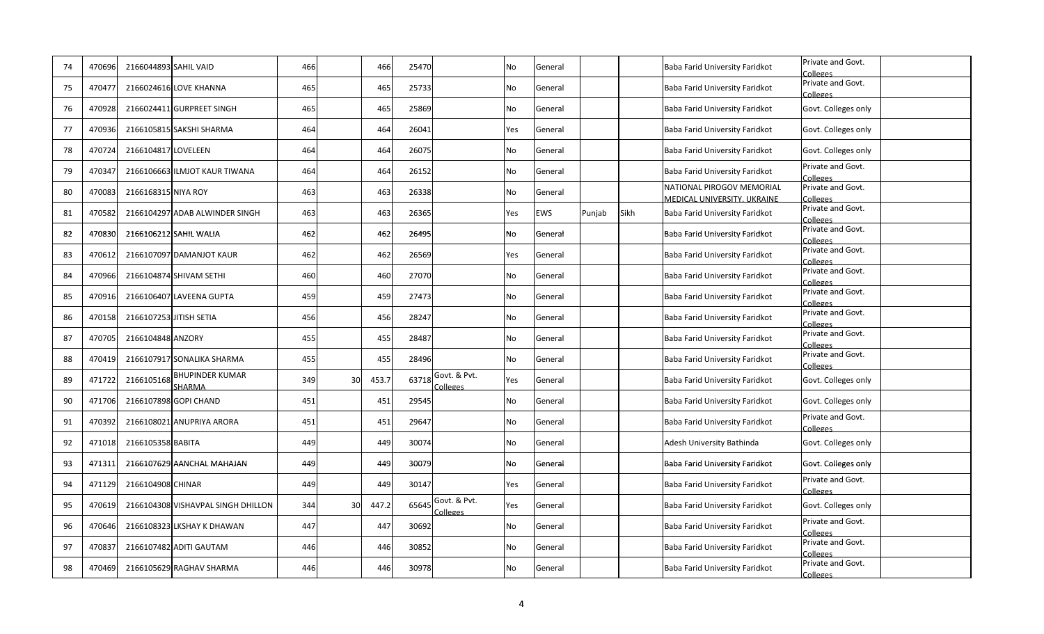| 74 | 470696 | 2166044893 SAHIL VAID |                                             | 466 |    | 466   | 25470 |                          | No        | General    |        |      | Baba Farid University Faridkot                           | Private and Govt.<br><b>Colleges</b> |
|----|--------|-----------------------|---------------------------------------------|-----|----|-------|-------|--------------------------|-----------|------------|--------|------|----------------------------------------------------------|--------------------------------------|
| 75 | 470477 |                       | 2166024616 LOVE KHANNA                      | 465 |    | 465   | 25733 |                          | No        | General    |        |      | Baba Farid University Faridkot                           | Private and Govt.<br>Colleges        |
| 76 | 47092  |                       | 2166024411 GURPREET SINGH                   | 465 |    | 465   | 25869 |                          | <b>No</b> | General    |        |      | Baba Farid University Faridkot                           | Govt. Colleges only                  |
| 77 | 470936 |                       | 2166105815 SAKSHI SHARMA                    | 464 |    | 464   | 26041 |                          | Yes       | General    |        |      | Baba Farid University Faridkot                           | Govt. Colleges only                  |
| 78 | 470724 | 2166104817 LOVELEEN   |                                             | 464 |    | 464   | 26075 |                          | <b>No</b> | General    |        |      | Baba Farid University Faridkot                           | Govt. Colleges only                  |
| 79 | 47034  |                       | 2166106663 ILMJOT KAUR TIWANA               | 464 |    | 464   | 26152 |                          | <b>No</b> | General    |        |      | Baba Farid University Faridkot                           | Private and Govt.<br>Colleges        |
| 80 | 47008  | 2166168315 NIYA ROY   |                                             | 463 |    | 463   | 26338 |                          | <b>No</b> | General    |        |      | NATIONAL PIROGOV MEMORIAL<br>MEDICAL UNIVERSITY, UKRAINE | Private and Govt.<br>Colleges        |
| 81 | 470582 |                       | 2166104297 ADAB ALWINDER SINGH              | 463 |    | 463   | 26365 |                          | Yes       | <b>EWS</b> | Punjab | Sikh | Baba Farid University Faridkot                           | Private and Govt.<br>Colleges        |
| 82 | 470830 |                       | 2166106212 SAHIL WALIA                      | 462 |    | 462   | 26495 |                          | <b>No</b> | General    |        |      | Baba Farid University Faridkot                           | Private and Govt.<br>Colleges        |
| 83 | 470612 |                       | 2166107097 DAMANJOT KAUR                    | 462 |    | 462   | 26569 |                          | Yes       | General    |        |      | Baba Farid University Faridkot                           | Private and Govt.<br>Colleges        |
| 84 | 470966 |                       | 2166104874 SHIVAM SETHI                     | 460 |    | 460   | 27070 |                          | <b>No</b> | General    |        |      | Baba Farid University Faridkot                           | Private and Govt.<br>Colleges        |
| 85 | 470916 |                       | 2166106407 LAVEENA GUPTA                    | 459 |    | 459   | 27473 |                          | <b>No</b> | General    |        |      | Baba Farid University Faridkot                           | Private and Govt.<br>Colleges        |
| 86 | 470158 |                       | 2166107253 JITISH SETIA                     | 456 |    | 456   | 28247 |                          | <b>No</b> | General    |        |      | Baba Farid University Faridkot                           | Private and Govt.<br>Colleges        |
| 87 | 47070! | 2166104848 ANZORY     |                                             | 455 |    | 455   | 28487 |                          | No        | General    |        |      | Baba Farid University Faridkot                           | Private and Govt.<br>Colleges        |
| 88 | 470419 |                       | 2166107917 SONALIKA SHARMA                  | 455 |    | 455   | 28496 |                          | No        | General    |        |      | Baba Farid University Faridkot                           | Private and Govt.<br>Colleges        |
| 89 | 471722 |                       | 2166105168 BHUPINDER KUMAR<br><b>SHARMA</b> | 349 | 30 | 453.7 | 63718 | Govt. & Pvt.<br>Colleges | Yes       | General    |        |      | Baba Farid University Faridkot                           | Govt. Colleges only                  |
| 90 | 471706 |                       | 2166107898 GOPI CHAND                       | 451 |    | 451   | 29545 |                          | <b>No</b> | General    |        |      | Baba Farid University Faridkot                           | Govt. Colleges only                  |
| 91 | 470392 |                       | 2166108021 ANUPRIYA ARORA                   | 451 |    | 451   | 29647 |                          | No        | General    |        |      | Baba Farid University Faridkot                           | Private and Govt.<br>Colleges        |
| 92 | 471018 | 2166105358 BABITA     |                                             | 449 |    | 449   | 30074 |                          | <b>No</b> | General    |        |      | Adesh University Bathinda                                | Govt. Colleges only                  |
| 93 | 471311 |                       | 2166107629 AANCHAL MAHAJAN                  | 449 |    | 449   | 30079 |                          | <b>No</b> | General    |        |      | Baba Farid University Faridkot                           | Govt. Colleges only                  |
| 94 | 471129 | 2166104908 CHINAR     |                                             | 449 |    | 449   | 30147 |                          | Yes       | General    |        |      | Baba Farid University Faridkot                           | Private and Govt.<br>Colleges        |
| 95 | 470619 |                       | 2166104308 VISHAVPAL SINGH DHILLON          | 344 | 30 | 447.2 | 65645 | Govt. & Pvt.<br>Colleges | Yes       | General    |        |      | Baba Farid University Faridkot                           | Govt. Colleges only                  |
| 96 | 470646 |                       | 2166108323 LKSHAY K DHAWAN                  | 447 |    | 447   | 30692 |                          | No        | General    |        |      | Baba Farid University Faridkot                           | Private and Govt.<br>Colleges        |
| 97 | 47083  |                       | 2166107482 ADITI GAUTAM                     | 446 |    | 446   | 30852 |                          | No        | General    |        |      | Baba Farid University Faridkot                           | Private and Govt.<br>Colleges        |
| 98 | 470469 |                       | 2166105629 RAGHAV SHARMA                    | 446 |    | 446   | 30978 |                          | No        | General    |        |      | Baba Farid University Faridkot                           | Private and Govt.<br>Colleges        |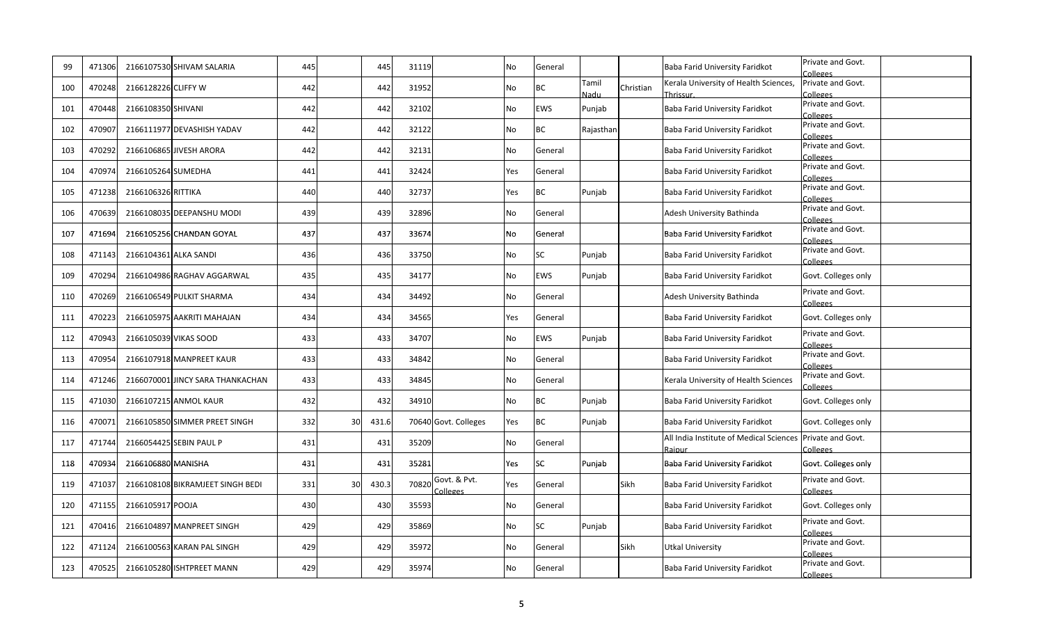| 99  | 471306 |                     | 2166107530 SHIVAM SALARIA        | 445 |    | 445   | 31119 |                          | <b>No</b> | General    |                |           | Baba Farid University Faridkot                                      | Private and Govt.<br>Colleges |
|-----|--------|---------------------|----------------------------------|-----|----|-------|-------|--------------------------|-----------|------------|----------------|-----------|---------------------------------------------------------------------|-------------------------------|
| 100 | 470248 | 2166128226 CLIFFY W |                                  | 442 |    | 442   | 31952 |                          | <b>No</b> | ВC         | Tamil          | Christian | Kerala University of Health Sciences,<br>Thrissur                   | Private and Govt.<br>Colleges |
| 101 | 470448 | 2166108350 SHIVANI  |                                  | 442 |    | 442   | 32102 |                          | No        | <b>EWS</b> | Nadu<br>Punjab |           | Baba Farid University Faridkot                                      | Private and Govt.             |
| 102 | 470907 |                     | 2166111977 DEVASHISH YADAV       | 442 |    | 442   | 32122 |                          | No        | ВC         | Rajasthan      |           | Baba Farid University Faridkot                                      | Colleges<br>Private and Govt. |
|     |        |                     |                                  |     |    |       |       |                          |           |            |                |           |                                                                     | Colleges<br>Private and Govt. |
| 103 | 470292 |                     | 2166106865 JIVESH ARORA          | 442 |    | 442   | 32131 |                          | No        | General    |                |           | Baba Farid University Faridkot                                      | Colleges                      |
| 104 | 470974 | 2166105264 SUMEDHA  |                                  | 441 |    | 441   | 32424 |                          | Yes       | General    |                |           | Baba Farid University Faridkot                                      | Private and Govt.<br>Colleges |
| 105 | 471238 | 2166106326 RITTIKA  |                                  | 440 |    | 440   | 32737 |                          | Yes       | ВC         | Punjab         |           | Baba Farid University Faridkot                                      | Private and Govt.<br>Colleges |
| 106 | 470639 |                     | 2166108035 DEEPANSHU MODI        | 439 |    | 439   | 32896 |                          | <b>No</b> | General    |                |           | Adesh University Bathinda                                           | Private and Govt.             |
| 107 | 471694 |                     | 2166105256 CHANDAN GOYAL         | 437 |    | 437   | 33674 |                          | No        | General    |                |           | Baba Farid University Faridkot                                      | Colleges<br>Private and Govt. |
|     |        |                     |                                  |     |    |       |       |                          |           |            |                |           |                                                                     | Colleges                      |
| 108 | 471143 |                     | 2166104361 ALKA SANDI            | 436 |    | 436   | 33750 |                          | <b>No</b> | SC         | Punjab         |           | Baba Farid University Faridkot                                      | Private and Govt.<br>Colleges |
| 109 | 470294 |                     | 2166104986 RAGHAV AGGARWAL       | 435 |    | 435   | 34177 |                          | <b>No</b> | EWS        | Punjab         |           | Baba Farid University Faridkot                                      | Govt. Colleges only           |
| 110 | 470269 |                     | 2166106549 PULKIT SHARMA         | 434 |    | 434   | 34492 |                          | No        | General    |                |           | Adesh University Bathinda                                           | Private and Govt.<br>Colleges |
| 111 | 470223 |                     | 2166105975 AAKRITI MAHAJAN       | 434 |    | 434   | 34565 |                          | Yes       | General    |                |           | Baba Farid University Faridkot                                      | Govt. Colleges only           |
| 112 | 470943 |                     | 2166105039 VIKAS SOOD            | 433 |    | 433   | 34707 |                          | No        | EWS        | Punjab         |           | Baba Farid University Faridkot                                      | Private and Govt.<br>Colleges |
| 113 | 470954 |                     | 2166107918 MANPREET KAUR         | 433 |    | 433   | 34842 |                          | No        | General    |                |           | Baba Farid University Faridkot                                      | Private and Govt.<br>Colleges |
| 114 | 471246 |                     | 2166070001 JINCY SARA THANKACHAN | 433 |    | 433   | 34845 |                          | No        | General    |                |           | Kerala University of Health Sciences                                | Private and Govt.<br>Colleges |
| 115 | 471030 |                     | 2166107215 ANMOL KAUR            | 432 |    | 432   | 34910 |                          | No        | ВC         | Punjab         |           | Baba Farid University Faridkot                                      | Govt. Colleges only           |
| 116 | 47007  |                     | 2166105850 SIMMER PREET SINGH    | 332 | 30 | 431.6 |       | 70640 Govt. Colleges     | Yes       | ВC         | Punjab         |           | Baba Farid University Faridkot                                      | Govt. Colleges only           |
| 117 | 471744 |                     | 2166054425 SEBIN PAUL P          | 431 |    | 431   | 35209 |                          | <b>No</b> | General    |                |           | All India Institute of Medical Sciences Private and Govt.<br>Raipur | Colleges                      |
| 118 | 470934 | 2166106880 MANISHA  |                                  | 431 |    | 431   | 35281 |                          | Yes       | <b>SC</b>  | Punjab         |           | Baba Farid University Faridkot                                      | Govt. Colleges only           |
| 119 | 471037 |                     | 2166108108 BIKRAMJEET SINGH BEDI | 331 | 30 | 430.3 | 70820 | Govt. & Pvt.<br>Colleges | Yes       | General    |                | Sikh      | Baba Farid University Faridkot                                      | Private and Govt.<br>Colleges |
| 120 | 471155 | 2166105917 POOJA    |                                  | 430 |    | 430   | 35593 |                          | No        | General    |                |           | Baba Farid University Faridkot                                      | Govt. Colleges only           |
| 121 | 470416 |                     | 2166104897 MANPREET SINGH        | 429 |    | 429   | 35869 |                          | No        | SC         | Punjab         |           | Baba Farid University Faridkot                                      | Private and Govt.<br>Colleges |
| 122 | 471124 |                     | 2166100563 KARAN PAL SINGH       | 429 |    | 429   | 35972 |                          | No        | General    |                | Sikh      | Utkal University                                                    | Private and Govt.<br>Colleges |
| 123 | 470525 |                     | 2166105280 ISHTPREET MANN        | 429 |    | 429   | 35974 |                          | No        | General    |                |           | Baba Farid University Faridkot                                      | Private and Govt.<br>Colleges |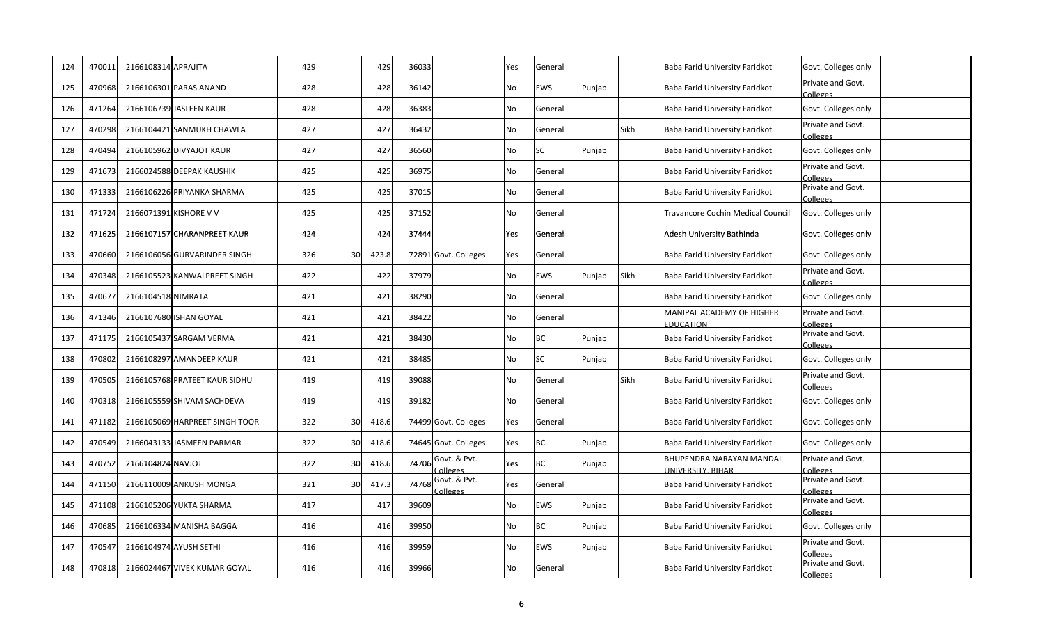| 124 | 47001  | 2166108314 APRAJITA |                                | 429             |    | 429   | 36033 |                          | Yes       | General    |        |      | Baba Farid University Faridkot                       | Govt. Colleges only           |
|-----|--------|---------------------|--------------------------------|-----------------|----|-------|-------|--------------------------|-----------|------------|--------|------|------------------------------------------------------|-------------------------------|
| 125 | 470968 |                     | 2166106301 PARAS ANAND         | 428             |    | 428   | 36142 |                          | No        | <b>EWS</b> | Punjab |      | Baba Farid University Faridkot                       | Private and Govt.<br>Colleges |
| 126 | 471264 |                     | 2166106739 JASLEEN KAUR        | 428             |    | 428   | 36383 |                          | <b>No</b> | General    |        |      | Baba Farid University Faridkot                       | Govt. Colleges only           |
| 127 | 470298 |                     | 2166104421 SANMUKH CHAWLA      | 427             |    | 427   | 36432 |                          | <b>No</b> | General    |        | Sikh | Baba Farid University Faridkot                       | Private and Govt.<br>Colleges |
| 128 | 470494 |                     | 2166105962 DIVYAJOT KAUR       | 427             |    | 427   | 36560 |                          | No        | <b>SC</b>  | Punjab |      | Baba Farid University Faridkot                       | Govt. Colleges only           |
| 129 | 47167  |                     | 2166024588 DEEPAK KAUSHIK      | 425             |    | 425   | 36975 |                          | <b>No</b> | General    |        |      | Baba Farid University Faridkot                       | Private and Govt.<br>Colleges |
| 130 | 47133  |                     | 2166106226 PRIYANKA SHARMA     | 425             |    | 425   | 37015 |                          | <b>No</b> | General    |        |      | Baba Farid University Faridkot                       | Private and Govt.<br>Colleges |
| 131 | 471724 |                     | 2166071391 KISHORE V V         | 425             |    | 425   | 37152 |                          | <b>No</b> | General    |        |      | Travancore Cochin Medical Council                    | Govt. Colleges only           |
| 132 | 471625 |                     | 2166107157 CHARANPREET KAUR    | 424             |    | 424   | 37444 |                          | Yes       | General    |        |      | Adesh University Bathinda                            | Govt. Colleges only           |
| 133 | 470660 |                     | 2166106056 GURVARINDER SINGH   | 326             | 30 | 423.8 |       | 72891 Govt. Colleges     | Yes       | General    |        |      | Baba Farid University Faridkot                       | Govt. Colleges only           |
| 134 | 470348 |                     | 2166105523 KANWALPREET SINGH   | 422             |    | 422   | 37979 |                          | <b>No</b> | EWS        | Punjab | Sikh | Baba Farid University Faridkot                       | Private and Govt.<br>Colleges |
| 135 | 47067  | 2166104518 NIMRATA  |                                | 421             |    | 421   | 38290 |                          | <b>No</b> | General    |        |      | Baba Farid University Faridkot                       | Govt. Colleges only           |
| 136 | 471346 |                     | 2166107680 ISHAN GOYAL         | 421             |    | 421   | 38422 |                          | <b>No</b> | General    |        |      | MANIPAL ACADEMY OF HIGHER<br><b>EDUCATION</b>        | Private and Govt.<br>Colleges |
| 137 | 471175 |                     | 2166105437 SARGAM VERMA        | 42 <sup>2</sup> |    | 421   | 38430 |                          | No        | ВC         | Punjab |      | Baba Farid University Faridkot                       | Private and Govt.<br>Colleges |
| 138 | 470802 |                     | 2166108297 AMANDEEP KAUR       | 421             |    | 421   | 38485 |                          | No        | SC         | Punjab |      | Baba Farid University Faridkot                       | Govt. Colleges only           |
| 139 | 470505 |                     | 2166105768 PRATEET KAUR SIDHU  | 419             |    | 419   | 39088 |                          | No        | General    |        | Sikh | Baba Farid University Faridkot                       | Private and Govt.<br>Colleges |
| 140 | 470318 |                     | 2166105559 SHIVAM SACHDEVA     | 419             |    | 419   | 39182 |                          | <b>No</b> | General    |        |      | Baba Farid University Faridkot                       | Govt. Colleges only           |
| 141 | 471182 |                     | 2166105069 HARPREET SINGH TOOR | 322             | 30 | 418.6 |       | 74499 Govt. Colleges     | Yes       | General    |        |      | Baba Farid University Faridkot                       | Govt. Colleges only           |
| 142 | 470549 |                     | 2166043133 JASMEEN PARMAR      | 322             | 30 | 418.6 |       | 74645 Govt. Colleges     | Yes       | ВC         | Punjab |      | Baba Farid University Faridkot                       | Govt. Colleges only           |
| 143 | 470752 | 2166104824 NAVJOT   |                                | 322             | 30 | 418.6 | 74706 | Govt. & Pvt.<br>Colleges | Yes       | BC         | Punjab |      | <b>BHUPENDRA NARAYAN MANDAL</b><br>UNIVERSITY, BIHAR | Private and Govt.<br>Colleges |
| 144 | 471150 |                     | 2166110009 ANKUSH MONGA        | 321             | 30 | 417.3 | 74768 | Govt. & Pvt.<br>Colleges | Yes       | General    |        |      | Baba Farid University Faridkot                       | Private and Govt.<br>Colleges |
| 145 | 471108 |                     | 2166105206 YUKTA SHARMA        | 417             |    | 417   | 39609 |                          | No        | EWS        | Punjab |      | Baba Farid University Faridkot                       | Private and Govt.<br>Colleges |
| 146 | 470685 |                     | 2166106334 MANISHA BAGGA       | 416             |    | 416   | 39950 |                          | No        | ВC         | Punjab |      | Baba Farid University Faridkot                       | Govt. Colleges only           |
| 147 | 47054  |                     | 2166104974 AYUSH SETHI         | 416             |    | 416   | 39959 |                          | No        | EWS        | Punjab |      | Baba Farid University Faridkot                       | Private and Govt.<br>Colleges |
| 148 | 470818 |                     | 2166024467 VIVEK KUMAR GOYAL   | 416             |    | 416   | 39966 |                          | No        | General    |        |      | Baba Farid University Faridkot                       | Private and Govt.<br>Colleges |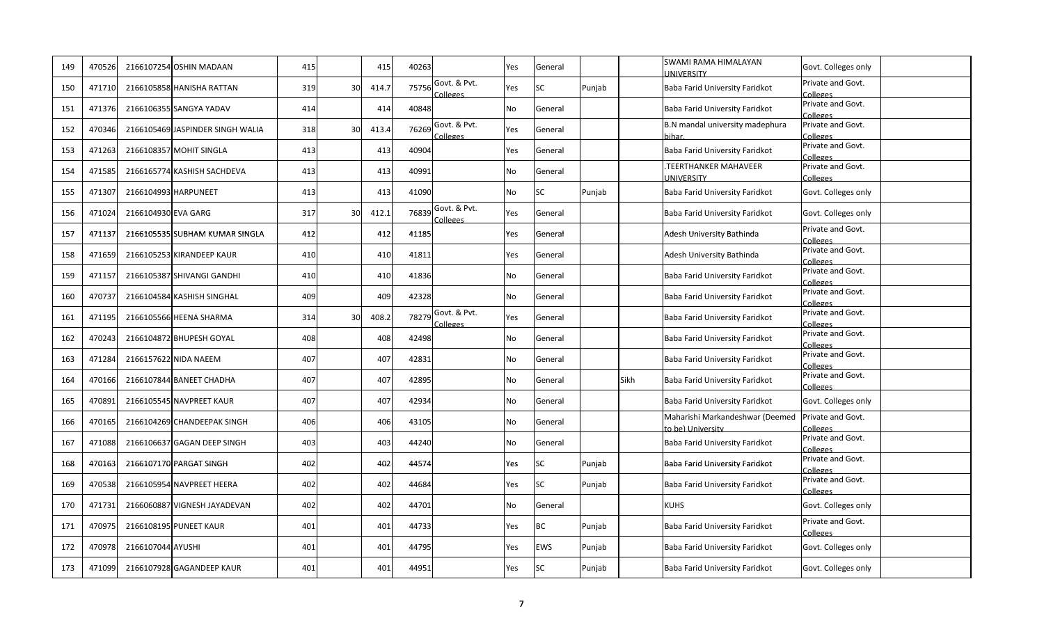| 149 | 470526 |                     | 2166107254 OSHIN MADAAN          | 415 |                | 415   | 40263 |                           | Yes       | General   |        |      | SWAMI RAMA HIMALAYAN<br><b>INIVERSITY</b>            | Govt. Colleges only           |
|-----|--------|---------------------|----------------------------------|-----|----------------|-------|-------|---------------------------|-----------|-----------|--------|------|------------------------------------------------------|-------------------------------|
| 150 | 471710 |                     | 2166105858 HANISHA RATTAN        | 319 | 30             | 414.7 | 75756 | Govt. & Pvt.<br>colleges. | Yes       | SC        | Punjab |      | Baba Farid University Faridkot                       | Private and Govt.<br>Colleges |
| 151 | 47137  |                     | 2166106355 SANGYA YADAV          | 414 |                | 414   | 40848 |                           | <b>No</b> | General   |        |      | Baba Farid University Faridkot                       | Private and Govt.<br>Colleges |
| 152 | 470346 |                     | 2166105469 JASPINDER SINGH WALIA | 318 | 3 <sup>c</sup> | 413.4 | 76269 | Govt. & Pvt.<br>ananlo.   | Yes       | General   |        |      | B.N mandal university madephura<br>าihar             | Private and Govt.<br>Colleges |
| 153 | 471263 |                     | 2166108357 MOHIT SINGLA          | 413 |                | 413   | 40904 |                           | Yes       | General   |        |      | Baba Farid University Faridkot                       | Private and Govt.<br>Colleges |
| 154 | 471585 |                     | 2166165774 KASHISH SACHDEVA      | 413 |                | 413   | 40991 |                           | <b>No</b> | General   |        |      | <b>TEERTHANKER MAHAVEER</b><br><b>JNIVERSITY</b>     | Private and Govt.<br>Colleges |
| 155 | 471307 |                     | 2166104993 HARPUNEET             | 413 |                | 413   | 41090 |                           | <b>No</b> | SC        | Punjab |      | Baba Farid University Faridkot                       | Govt. Colleges only           |
| 156 | 471024 | 2166104930 EVA GARG |                                  | 317 | 30             | 412.1 | 76839 | Govt. & Pvt.<br>Colleges  | Yes       | General   |        |      | Baba Farid University Faridkot                       | Govt. Colleges only           |
| 157 | 471137 |                     | 2166105535 SUBHAM KUMAR SINGLA   | 412 |                | 412   | 41185 |                           | Yes       | General   |        |      | Adesh University Bathinda                            | Private and Govt.<br>Colleges |
| 158 | 471659 |                     | 2166105253 KIRANDEEP KAUR        | 410 |                | 410   | 41811 |                           | Yes       | General   |        |      | Adesh University Bathinda                            | Private and Govt.<br>Colleges |
| 159 | 471157 |                     | 2166105387 SHIVANGI GANDHI       | 410 |                | 410   | 41836 |                           | No        | General   |        |      | Baba Farid University Faridkot                       | Private and Govt.<br>Colleges |
| 160 | 470737 |                     | 2166104584 KASHISH SINGHAL       | 409 |                | 409   | 42328 |                           | <b>No</b> | General   |        |      | Baba Farid University Faridkot                       | Private and Govt.<br>Colleges |
| 161 | 471195 |                     | 2166105566 HEENA SHARMA          | 314 | 30             | 408.2 | 78279 | Govt. & Pvt.<br>colleges  | Yes       | General   |        |      | Baba Farid University Faridkot                       | Private and Govt.<br>Colleges |
| 162 | 470243 |                     | 2166104872 BHUPESH GOYAL         | 408 |                | 408   | 42498 |                           | <b>No</b> | General   |        |      | Baba Farid University Faridkot                       | Private and Govt.<br>Colleges |
| 163 | 471284 |                     | 2166157622 NIDA NAEEM            | 407 |                | 407   | 42831 |                           | No        | General   |        |      | Baba Farid University Faridkot                       | Private and Govt.<br>Colleges |
| 164 | 470166 |                     | 2166107844 BANEET CHADHA         | 407 |                | 407   | 42895 |                           | <b>No</b> | General   |        | Sikh | Baba Farid University Faridkot                       | Private and Govt.<br>Colleges |
| 165 | 470891 |                     | 2166105545 NAVPREET KAUR         | 407 |                | 407   | 42934 |                           | <b>No</b> | General   |        |      | Baba Farid University Faridkot                       | Govt. Colleges only           |
| 166 | 470165 |                     | 2166104269 CHANDEEPAK SINGH      | 406 |                | 406   | 43105 |                           | <b>No</b> | General   |        |      | Maharishi Markandeshwar (Deemed<br>to be) University | Private and Govt.<br>Colleges |
| 167 | 471088 |                     | 2166106637 GAGAN DEEP SINGH      | 403 |                | 403   | 44240 |                           | <b>No</b> | General   |        |      | Baba Farid University Faridkot                       | Private and Govt.<br>Colleges |
| 168 | 470163 |                     | 2166107170 PARGAT SINGH          | 402 |                | 402   | 44574 |                           | Yes       | <b>SC</b> | Punjab |      | Baba Farid University Faridkot                       | Private and Govt.<br>Colleges |
| 169 | 47053  |                     | 2166105954 NAVPREET HEERA        | 402 |                | 402   | 44684 |                           | Yes       | SC.       | Punjab |      | Baba Farid University Faridkot                       | Private and Govt.<br>Colleges |
| 170 | 471731 |                     | 2166060887 VIGNESH JAYADEVAN     | 402 |                | 402   | 44701 |                           | <b>No</b> | General   |        |      | <b>KUHS</b>                                          | Govt. Colleges only           |
| 171 | 470975 |                     | 2166108195 PUNEET KAUR           | 401 |                | 401   | 44733 |                           | Yes       | ВC        | Punjab |      | Baba Farid University Faridkot                       | Private and Govt.<br>Colleges |
| 172 | 47097  | 2166107044 AYUSHI   |                                  | 401 |                | 401   | 44795 |                           | Yes       | EWS.      | Punjab |      | Baba Farid University Faridkot                       | Govt. Colleges only           |
| 173 | 471099 |                     | 2166107928 GAGANDEEP KAUR        | 401 |                | 401   | 44951 |                           | Yes       | SC        | Punjab |      | Baba Farid University Faridkot                       | Govt. Colleges only           |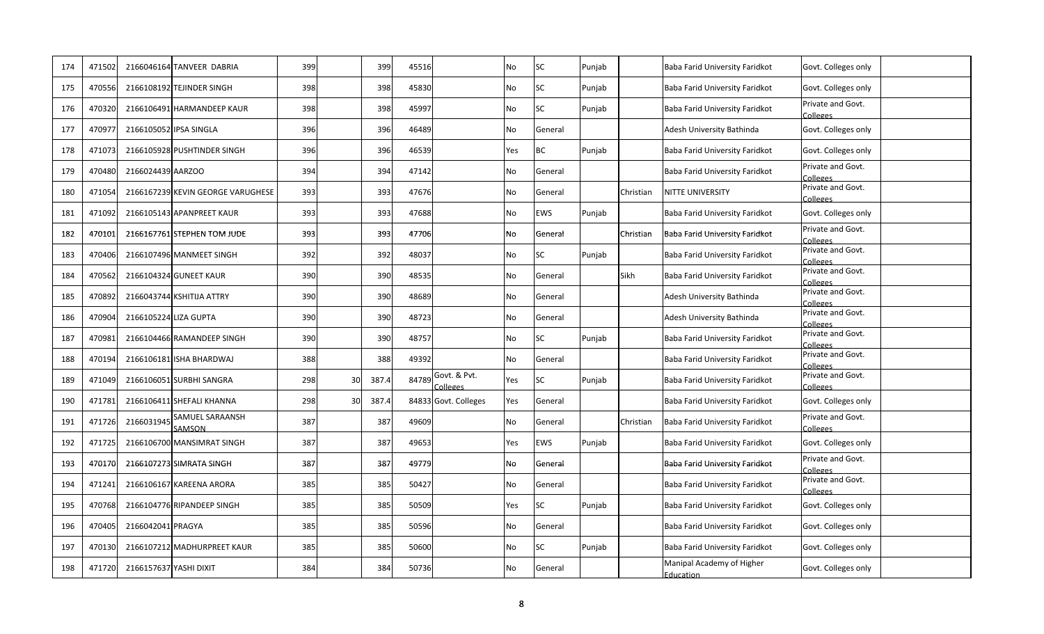| 174 | 471502 |                        | 2166046164 TANVEER DABRIA         | 399 |                | 399   | 45516 |                          | No        | <b>SC</b> | Punjab |           | Baba Farid University Faridkot                | Govt. Colleges only           |
|-----|--------|------------------------|-----------------------------------|-----|----------------|-------|-------|--------------------------|-----------|-----------|--------|-----------|-----------------------------------------------|-------------------------------|
| 175 | 470556 |                        | 2166108192 TEJINDER SINGH         | 398 |                | 398   | 45830 |                          | No        | SC        | Punjab |           | Baba Farid University Faridkot                | Govt. Colleges only           |
| 176 | 47032  |                        | 2166106491 HARMANDEEP KAUR        | 398 |                | 398   | 45997 |                          | <b>No</b> | SC        | Punjab |           | Baba Farid University Faridkot                | Private and Govt.<br>Colleges |
| 177 | 47097  |                        | 2166105052 IPSA SINGLA            | 396 |                | 396   | 46489 |                          | No        | General   |        |           | Adesh University Bathinda                     | Govt. Colleges only           |
| 178 | 47107  |                        | 2166105928 PUSHTINDER SINGH       | 396 |                | 396   | 46539 |                          | Yes       | ВC        | Punjab |           | Baba Farid University Faridkot                | Govt. Colleges only           |
| 179 | 470480 | 2166024439 AARZOO      |                                   | 394 |                | 394   | 47142 |                          | <b>No</b> | General   |        |           | Baba Farid University Faridkot                | Private and Govt.<br>Colleges |
| 180 | 47105  |                        | 2166167239 KEVIN GEORGE VARUGHESE | 393 |                | 393   | 47676 |                          | No        | General   |        | Christian | NITTE UNIVERSITY                              | Private and Govt.<br>Colleges |
| 181 | 471092 |                        | 2166105143 APANPREET KAUR         | 393 |                | 393   | 47688 |                          | No        | EWS       | Punjab |           | Baba Farid University Faridkot                | Govt. Colleges only           |
| 182 | 470101 |                        | 2166167761 STEPHEN TOM JUDE       | 393 |                | 393   | 47706 |                          | No        | General   |        | Christian | Baba Farid University Faridkot                | Private and Govt.<br>Colleges |
| 183 | 470406 |                        | 2166107496 MANMEET SINGH          | 392 |                | 392   | 48037 |                          | <b>No</b> | SC.       | Punjab |           | Baba Farid University Faridkot                | Private and Govt.<br>Colleges |
| 184 | 470562 |                        | 2166104324 GUNEET KAUR            | 390 |                | 390   | 48535 |                          | <b>No</b> | General   |        | Sikh      | Baba Farid University Faridkot                | Private and Govt.<br>Colleges |
| 185 | 470892 |                        | 2166043744 KSHITIJA ATTRY         | 390 |                | 390   | 48689 |                          | <b>No</b> | General   |        |           | Adesh University Bathinda                     | Private and Govt.<br>Colleges |
| 186 | 470904 | 2166105224 LIZA GUPTA  |                                   | 390 |                | 390   | 48723 |                          | <b>No</b> | General   |        |           | Adesh University Bathinda                     | Private and Govt.<br>Colleges |
| 187 | 470981 |                        | 2166104466 RAMANDEEP SINGH        | 390 |                | 390   | 48757 |                          | <b>No</b> | <b>SC</b> | Punjab |           | Baba Farid University Faridkot                | Private and Govt.<br>Colleges |
| 188 | 470194 |                        | 2166106181 ISHA BHARDWAJ          | 388 |                | 388   | 49392 |                          | <b>No</b> | General   |        |           | Baba Farid University Faridkot                | Private and Govt.<br>Colleges |
| 189 | 471049 |                        | 2166106051 SURBHI SANGRA          | 298 | 3 <sup>c</sup> | 387.4 | 84789 | Govt. & Pvt.<br>Colleges | Yes       | SC        | Punjab |           | Baba Farid University Faridkot                | Private and Govt.<br>Colleges |
| 190 | 471781 |                        | 2166106411 SHEFALI KHANNA         | 298 | 30             | 387.4 |       | 84833 Govt. Colleges     | Yes       | General   |        |           | Baba Farid University Faridkot                | Govt. Colleges only           |
| 191 | 471726 | 2166031945             | SAMUEL SARAANSH<br>SAMSON         | 387 |                | 387   | 49609 |                          | <b>No</b> | General   |        | Christian | Baba Farid University Faridkot                | Private and Govt.<br>Colleges |
| 192 | 471725 |                        | 2166106700 MANSIMRAT SINGH        | 387 |                | 387   | 49653 |                          | Yes       | EWS       | Punjab |           | Baba Farid University Faridkot                | Govt. Colleges only           |
| 193 | 47017  |                        | 2166107273 SIMRATA SINGH          | 387 |                | 387   | 49779 |                          | No        | General   |        |           | Baba Farid University Faridkot                | Private and Govt.<br>Colleges |
| 194 | 471241 |                        | 2166106167 KAREENA ARORA          | 385 |                | 385   | 50427 |                          | No        | General   |        |           | Baba Farid University Faridkot                | Private and Govt.<br>Colleges |
| 195 | 47076  |                        | 2166104776 RIPANDEEP SINGH        | 385 |                | 385   | 50509 |                          | Yes       | SC        | Punjab |           | Baba Farid University Faridkot                | Govt. Colleges only           |
| 196 | 470405 | 2166042041 PRAGYA      |                                   | 385 |                | 385   | 50596 |                          | <b>No</b> | General   |        |           | Baba Farid University Faridkot                | Govt. Colleges only           |
| 197 | 47013  |                        | 2166107212 MADHURPREET KAUR       | 385 |                | 385   | 50600 |                          | No        | SC        | Punjab |           | Baba Farid University Faridkot                | Govt. Colleges only           |
| 198 | 471720 | 2166157637 YASHI DIXIT |                                   | 384 |                | 384   | 50736 |                          | No        | General   |        |           | Manipal Academy of Higher<br><b>Education</b> | Govt. Colleges only           |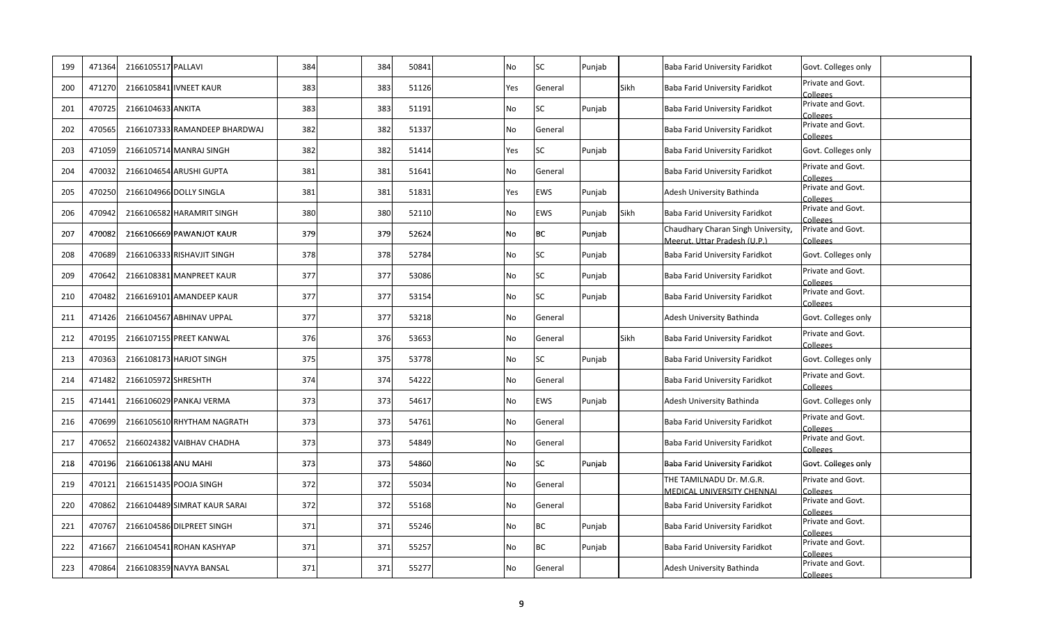| 199 | 471364 | 2166105517 PALLAVI  |                               | 384 | 384 | 50841 | <b>No</b> | SC        | Punjab |             | Baba Farid University Faridkot                                     | Govt. Colleges only                  |
|-----|--------|---------------------|-------------------------------|-----|-----|-------|-----------|-----------|--------|-------------|--------------------------------------------------------------------|--------------------------------------|
| 200 | 471270 |                     | 2166105841 IVNEET KAUR        | 383 | 383 | 51126 | Yes       | General   |        | <b>Sikh</b> | Baba Farid University Faridkot                                     | Private and Govt.<br>Colleges        |
| 201 | 470725 | 2166104633 ANKITA   |                               | 383 | 383 | 51191 | No        | <b>SC</b> | Punjab |             | Baba Farid University Faridkot                                     | Private and Govt.<br>Colleges        |
| 202 | 470565 |                     | 2166107333 RAMANDEEP BHARDWAJ | 382 | 382 | 51337 | No        | General   |        |             | Baba Farid University Faridkot                                     | Private and Govt.<br>Colleges        |
| 203 | 471059 |                     | 2166105714 MANRAJ SINGH       | 382 | 382 | 51414 | Yes       | <b>SC</b> | Punjab |             | Baba Farid University Faridkot                                     | Govt. Colleges only                  |
| 204 | 470032 |                     | 2166104654 ARUSHI GUPTA       | 381 | 381 | 51641 | No        | General   |        |             | Baba Farid University Faridkot                                     | Private and Govt.<br>Colleges        |
| 205 | 470250 |                     | 2166104966 DOLLY SINGLA       | 381 | 381 | 51831 | Yes       | EWS       | Punjab |             | Adesh University Bathinda                                          | Private and Govt.<br>Colleges        |
| 206 | 470942 |                     | 2166106582 HARAMRIT SINGH     | 380 | 380 | 52110 | <b>No</b> | EWS       | Punjab | Sikh        | Baba Farid University Faridkot                                     | Private and Govt.<br>Colleges        |
| 207 | 470082 |                     | 2166106669 PAWANJOT KAUR      | 379 | 379 | 52624 | No        | ВC        | Punjab |             | Chaudhary Charan Singh University,<br>Meerut, Uttar Pradesh (U.P.) | Private and Govt.<br>Colleges        |
| 208 | 470689 |                     | 2166106333 RISHAVJIT SINGH    | 378 | 378 | 52784 | <b>No</b> | SC        | Punjab |             | Baba Farid University Faridkot                                     | Govt. Colleges only                  |
| 209 | 470642 |                     | 2166108381 MANPREET KAUR      | 377 | 377 | 53086 | <b>No</b> | SC        | Punjab |             | Baba Farid University Faridkot                                     | Private and Govt.<br>Colleges        |
| 210 | 470482 |                     | 2166169101 AMANDEEP KAUR      | 377 | 377 | 53154 | No        | <b>SC</b> | Punjab |             | Baba Farid University Faridkot                                     | Private and Govt.<br>Colleges        |
| 211 | 471426 |                     | 2166104567 ABHINAV UPPAL      | 377 | 377 | 53218 | No        | General   |        |             | Adesh University Bathinda                                          | Govt. Colleges only                  |
| 212 | 470195 |                     | 2166107155 PREET KANWAL       | 376 | 376 | 53653 | No        | General   |        | Sikh        | Baba Farid University Faridkot                                     | Private and Govt.<br>Colleges        |
| 213 | 470363 |                     | 2166108173 HARJOT SINGH       | 375 | 375 | 53778 | No        | SC        | Punjab |             | Baba Farid University Faridkot                                     | Govt. Colleges only                  |
| 214 | 471482 | 2166105972 SHRESHTH |                               | 374 | 374 | 54222 | No        | General   |        |             | Baba Farid University Faridkot                                     | Private and Govt.<br>Colleges        |
| 215 | 471441 |                     | 2166106029 PANKAJ VERMA       | 373 | 373 | 54617 | No        | EWS       | Punjab |             | Adesh University Bathinda                                          | Govt. Colleges only                  |
| 216 | 470699 |                     | 2166105610 RHYTHAM NAGRATH    | 373 | 373 | 54761 | No        | General   |        |             | Baba Farid University Faridkot                                     | Private and Govt.<br>Colleges        |
| 217 | 470652 |                     | 2166024382 VAIBHAV CHADHA     | 373 | 373 | 54849 | No        | General   |        |             | Baba Farid University Faridkot                                     | Private and Govt.<br>Colleges        |
| 218 | 470196 | 2166106138 ANU MAHI |                               | 373 | 373 | 54860 | <b>No</b> | SC        | Punjab |             | Baba Farid University Faridkot                                     | Govt. Colleges only                  |
| 219 | 470121 |                     | 2166151435 POOJA SINGH        | 372 | 372 | 55034 | No        | General   |        |             | THE TAMILNADU Dr. M.G.R.<br><b>MEDICAL UNIVERSITY CHENNAL</b>      | Private and Govt.<br>Colleges        |
| 220 | 470862 |                     | 2166104489 SIMRAT KAUR SARAI  | 372 | 372 | 55168 | No        | General   |        |             | Baba Farid University Faridkot                                     | Private and Govt.<br>Colleges        |
| 221 | 470767 |                     | 2166104586 DILPREET SINGH     | 371 | 371 | 55246 | No        | ВC        | Punjab |             | Baba Farid University Faridkot                                     | Private and Govt.<br>Colleges        |
| 222 | 471667 |                     | 2166104541 ROHAN KASHYAP      | 371 | 371 | 55257 | No        | <b>BC</b> | Punjab |             | Baba Farid University Faridkot                                     | Private and Govt.<br>Colleges        |
| 223 | 470864 |                     | 2166108359 NAVYA BANSAL       | 371 | 371 | 55277 | No        | General   |        |             | Adesh University Bathinda                                          | Private and Govt.<br><b>Colleges</b> |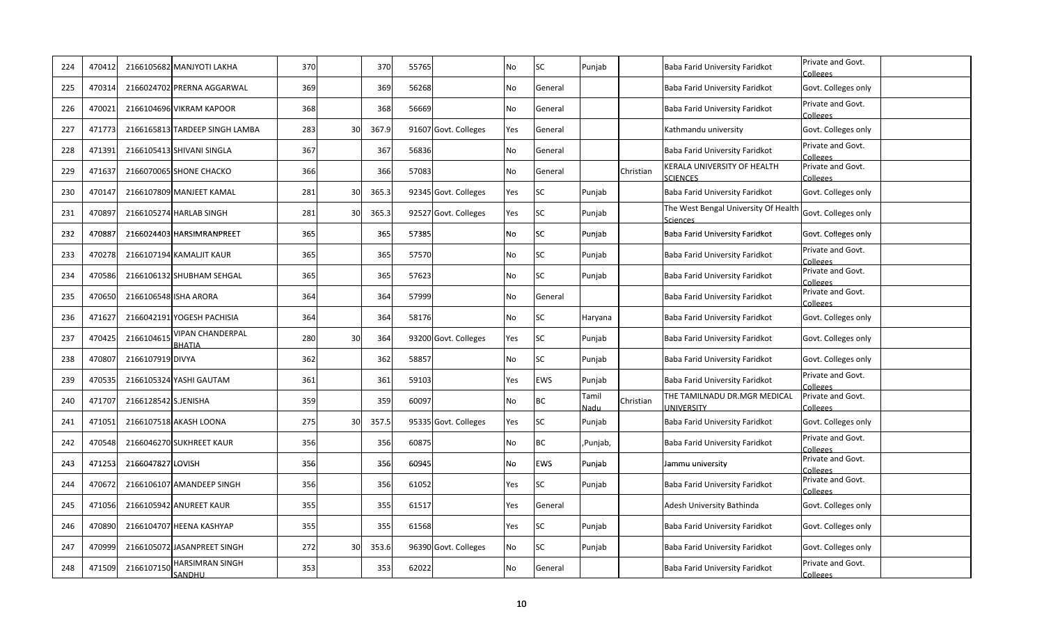| 224 | 470412 |                      | 2166105682 MANJYOTI LAKHA                | 370 |    | 37C   | 55765 |                      | No        | SC         | Punjab        |           | Baba Farid University Faridkot                    | Private and Govt.<br>Colleges        |
|-----|--------|----------------------|------------------------------------------|-----|----|-------|-------|----------------------|-----------|------------|---------------|-----------|---------------------------------------------------|--------------------------------------|
| 225 | 470314 |                      | 2166024702 PRERNA AGGARWAL               | 369 |    | 369   | 56268 |                      | No        | General    |               |           | Baba Farid University Faridkot                    | Govt. Colleges only                  |
| 226 | 470021 |                      | 2166104696 VIKRAM KAPOOR                 | 368 |    | 368   | 56669 |                      | No        | General    |               |           | Baba Farid University Faridkot                    | Private and Govt.<br>Colleges        |
| 227 | 471773 |                      | 2166165813 TARDEEP SINGH LAMBA           | 283 | 30 | 367.9 |       | 91607 Govt. Colleges | Yes       | General    |               |           | Kathmandu university                              | Govt. Colleges only                  |
| 228 | 471391 |                      | 2166105413 SHIVANI SINGLA                | 367 |    | 367   | 56836 |                      | <b>No</b> | General    |               |           | Baba Farid University Faridkot                    | Private and Govt.<br>Colleges        |
| 229 | 471637 |                      | 2166070065 SHONE CHACKO                  | 366 |    | 366   | 57083 |                      | No        | General    |               | Christian | KERALA UNIVERSITY OF HEALTH<br><b>SCIENCES</b>    | Private and Govt.<br>Colleges        |
| 230 | 470147 |                      | 2166107809 MANJEET KAMAL                 | 281 | 30 | 365.3 |       | 92345 Govt. Colleges | Yes       | SC         | Punjab        |           | Baba Farid University Faridkot                    | Govt. Colleges only                  |
| 231 | 470897 |                      | 2166105274 HARLAB SINGH                  | 281 | 30 | 365.3 |       | 92527 Govt. Colleges | Yes       | SC         | Punjab        |           | The West Bengal University Of Healtl<br>Sciences  | Govt. Colleges only                  |
| 232 | 470887 |                      | 2166024403 HARSIMRANPREET                | 365 |    | 365   | 57385 |                      | No        | SC         | Punjab        |           | Baba Farid University Faridkot                    | Govt. Colleges only                  |
| 233 | 470278 |                      | 2166107194 KAMALJIT KAUR                 | 365 |    | 365   | 57570 |                      | No        | SC         | Punjab        |           | Baba Farid University Faridkot                    | Private and Govt.<br>Colleges        |
| 234 | 470586 |                      | 2166106132 SHUBHAM SEHGAL                | 365 |    | 365   | 57623 |                      | No        | <b>SC</b>  | Punjab        |           | Baba Farid University Faridkot                    | Private and Govt.<br>Colleges        |
| 235 | 470650 |                      | 2166106548 ISHA ARORA                    | 364 |    | 364   | 57999 |                      | No        | General    |               |           | Baba Farid University Faridkot                    | Private and Govt.<br>Colleges        |
| 236 | 471627 |                      | 2166042191 YOGESH PACHISIA               | 364 |    | 364   | 58176 |                      | <b>No</b> | SC         | Haryana       |           | Baba Farid University Faridkot                    | Govt. Colleges only                  |
| 237 | 470425 | 216610461            | <b>VIPAN CHANDERPAL</b><br><b>BHATIA</b> | 280 | 30 | 364   |       | 93200 Govt. Colleges | Yes       | <b>SC</b>  | Punjab        |           | Baba Farid University Faridkot                    | Govt. Colleges only                  |
| 238 | 470807 | 2166107919 DIVYA     |                                          | 362 |    | 362   | 58857 |                      | No        | SC         | Punjab        |           | Baba Farid University Faridkot                    | Govt. Colleges only                  |
| 239 | 470535 |                      | 2166105324 YASHI GAUTAM                  | 361 |    | 361   | 59103 |                      | Yes       | <b>EWS</b> | Punjab        |           | Baba Farid University Faridkot                    | Private and Govt.<br>Colleges        |
| 240 | 471707 | 2166128542 S.JENISHA |                                          | 359 |    | 359   | 60097 |                      | <b>No</b> | BC         | Tamil<br>Nadu | Christian | THE TAMILNADU DR.MGR MEDICAL<br><b>INIVERSITY</b> | Private and Govt.<br>Colleges        |
| 241 | 471051 |                      | 2166107518 AKASH LOONA                   | 275 | 30 | 357.5 |       | 95335 Govt. Colleges | Yes       | SC         | Punjab        |           | Baba Farid University Faridkot                    | Govt. Colleges only                  |
| 242 | 470548 |                      | 2166046270 SUKHREET KAUR                 | 356 |    | 356   | 60875 |                      | No        | ВC         | ,Punjab,      |           | Baba Farid University Faridkot                    | Private and Govt.<br><b>Colleges</b> |
| 243 | 471253 | 2166047827 LOVISH    |                                          | 356 |    | 356   | 60945 |                      | <b>No</b> | <b>EWS</b> | Punjab        |           | Jammu university                                  | Private and Govt.<br>Colleges        |
| 244 | 470672 |                      | 2166106107 AMANDEEP SINGH                | 356 |    | 356   | 61052 |                      | Yes       | SC         | Punjab        |           | Baba Farid University Faridkot                    | Private and Govt.<br>Colleges        |
| 245 | 471056 |                      | 2166105942 ANUREET KAUR                  | 355 |    | 355   | 61517 |                      | Yes       | General    |               |           | Adesh University Bathinda                         | Govt. Colleges only                  |
| 246 | 470890 |                      | 2166104707 HEENA KASHYAP                 | 355 |    | 355   | 61568 |                      | Yes       | <b>SC</b>  | Punjab        |           | Baba Farid University Faridkot                    | Govt. Colleges only                  |
| 247 | 470999 |                      | 2166105072 JASANPREET SINGH              | 272 | 30 | 353.6 |       | 96390 Govt. Colleges | <b>No</b> | <b>SC</b>  | Punjab        |           | Baba Farid University Faridkot                    | Govt. Colleges only                  |
| 248 | 471509 | 216610715            | HARSIMRAN SINGH<br>SANDHU                | 353 |    | 353   | 62022 |                      | No        | General    |               |           | Baba Farid University Faridkot                    | Private and Govt.<br>Colleges        |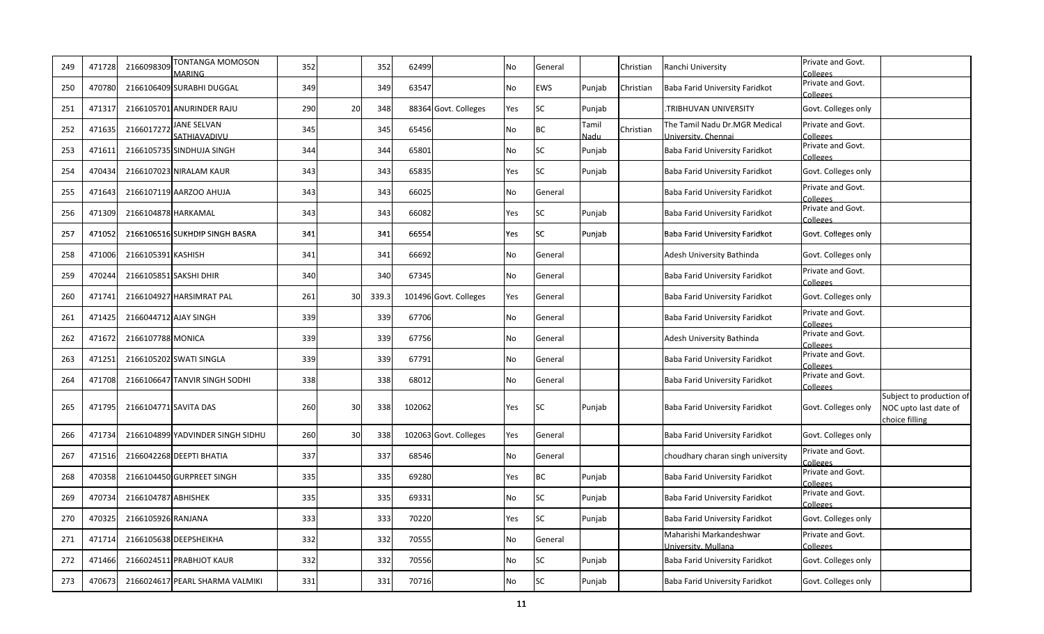| 249 | 471728 | 216609830           | TONTANGA MOMOSON<br>MARING         | 352 |    | 352   | 62499  |                       | No        | General   |               | Christian | Ranchi University                                    | Private and Govt.<br>Colleges |                                                                     |
|-----|--------|---------------------|------------------------------------|-----|----|-------|--------|-----------------------|-----------|-----------|---------------|-----------|------------------------------------------------------|-------------------------------|---------------------------------------------------------------------|
| 250 | 470780 |                     | 2166106409 SURABHI DUGGAL          | 349 |    | 349   | 63547  |                       | <b>No</b> | EWS       | Punjab        | Christian | Baba Farid University Faridkot                       | Private and Govt.<br>Colleges |                                                                     |
| 251 | 471317 |                     | 2166105701 ANURINDER RAJU          | 290 | 20 | 348   |        | 88364 Govt. Colleges  | Yes       | SC        | Punjab        |           | TRIBHUVAN UNIVERSITY.                                | Govt. Colleges only           |                                                                     |
| 252 | 471635 | 2166017272          | <b>JANE SELVAN</b><br>SATHIAVADIVU | 345 |    | 345   | 65456  |                       | No        | ВC        | Tamil<br>Nadu | Christian | The Tamil Nadu Dr.MGR Medical<br>University, Chennai | Private and Govt.<br>Colleges |                                                                     |
| 253 | 471611 |                     | 2166105735 SINDHUJA SINGH          | 344 |    | 344   | 65801  |                       | No        | SC        | Punjab        |           | Baba Farid University Faridkot                       | Private and Govt.<br>Colleges |                                                                     |
| 254 | 470434 |                     | 2166107023 NIRALAM KAUR            | 343 |    | 343   | 65835  |                       | Yes       | <b>SC</b> | Punjab        |           | Baba Farid University Faridkot                       | Govt. Colleges only           |                                                                     |
| 255 | 471643 |                     | 2166107119 AARZOO AHUJA            | 343 |    | 343   | 66025  |                       | No        | General   |               |           | Baba Farid University Faridkot                       | Private and Govt.<br>Colleges |                                                                     |
| 256 | 471309 | 2166104878 HARKAMAL |                                    | 343 |    | 343   | 66082  |                       | Yes       | <b>SC</b> | Punjab        |           | Baba Farid University Faridkot                       | Private and Govt.<br>Colleges |                                                                     |
| 257 | 471052 |                     | 2166106516 SUKHDIP SINGH BASRA     | 341 |    | 341   | 66554  |                       | Yes       | SC        | Punjab        |           | Baba Farid University Faridkot                       | Govt. Colleges only           |                                                                     |
| 258 | 471006 | 2166105391 KASHISH  |                                    | 341 |    | 341   | 66692  |                       | <b>No</b> | General   |               |           | Adesh University Bathinda                            | Govt. Colleges only           |                                                                     |
| 259 | 470244 |                     | 2166105851 SAKSHI DHIR             | 340 |    | 340   | 67345  |                       | No        | General   |               |           | Baba Farid University Faridkot                       | Private and Govt.<br>Colleges |                                                                     |
| 260 | 471741 |                     | 2166104927 HARSIMRAT PAL           | 261 | 30 | 339.3 |        | 101496 Govt. Colleges | Yes       | General   |               |           | Baba Farid University Faridkot                       | Govt. Colleges only           |                                                                     |
| 261 | 471425 |                     | 2166044712 AJAY SINGH              | 339 |    | 339   | 67706  |                       | <b>No</b> | General   |               |           | Baba Farid University Faridkot                       | Private and Govt.<br>Colleges |                                                                     |
| 262 | 471672 | 2166107788 MONICA   |                                    | 339 |    | 339   | 67756  |                       | No        | General   |               |           | Adesh University Bathinda                            | Private and Govt.<br>Colleges |                                                                     |
| 263 | 471251 |                     | 2166105202 SWATI SINGLA            | 339 |    | 339   | 67791  |                       | No        | General   |               |           | Baba Farid University Faridkot                       | Private and Govt.<br>Colleges |                                                                     |
| 264 | 471708 |                     | 2166106647 TANVIR SINGH SODHI      | 338 |    | 338   | 68012  |                       | No        | General   |               |           | Baba Farid University Faridkot                       | Private and Govt.<br>Colleges |                                                                     |
| 265 | 471795 |                     | 2166104771 SAVITA DAS              | 260 | 30 | 338   | 102062 |                       | Yes       | SC        | Punjab        |           | Baba Farid University Faridkot                       | Govt. Colleges only           | Subject to production of<br>NOC upto last date of<br>choice filling |
| 266 | 471734 |                     | 2166104899 YADVINDER SINGH SIDHU   | 260 | 30 | 338   |        | 102063 Govt. Colleges | Yes       | General   |               |           | Baba Farid University Faridkot                       | Govt. Colleges only           |                                                                     |
| 267 | 471516 |                     | 2166042268 DEEPTI BHATIA           | 337 |    | 337   | 68546  |                       | <b>No</b> | General   |               |           | choudhary charan singh university                    | Private and Govt.<br>Colleges |                                                                     |
| 268 | 470358 |                     | 2166104450 GURPREET SINGH          | 335 |    | 335   | 69280  |                       | Yes       | BC        | Punjab        |           | Baba Farid University Faridkot                       | Private and Govt.<br>Colleges |                                                                     |
| 269 | 470734 | 2166104787 ABHISHEK |                                    | 335 |    | 335   | 69331  |                       | No        | SC        | Punjab        |           | Baba Farid University Faridkot                       | Private and Govt.<br>Colleges |                                                                     |
| 270 | 470325 | 2166105926 RANJANA  |                                    | 333 |    | 333   | 70220  |                       | Yes       | SC        | Punjab        |           | Baba Farid University Faridkot                       | Govt. Colleges only           |                                                                     |
| 271 | 471714 |                     | 2166105638 DEEPSHEIKHA             | 332 |    | 332   | 70555  |                       | No        | General   |               |           | Maharishi Markandeshwar<br>University, Mullana       | Private and Govt.<br>Colleges |                                                                     |
| 272 | 471466 |                     | 2166024511 PRABHJOT KAUR           | 332 |    | 332   | 70556  |                       | No        | SC        | Punjab        |           | Baba Farid University Faridkot                       | Govt. Colleges only           |                                                                     |
| 273 | 470673 |                     | 2166024617 PEARL SHARMA VALMIKI    | 331 |    | 331   | 70716  |                       | No        | SC        | Punjab        |           | Baba Farid University Faridkot                       | Govt. Colleges only           |                                                                     |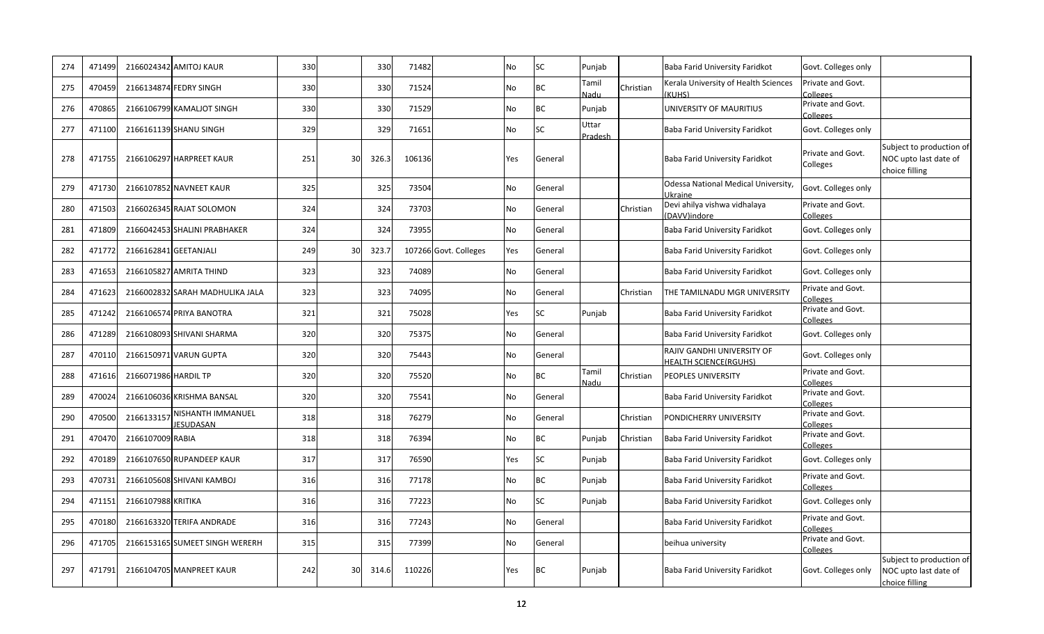| 274 | 471499 |                      | 2166024342 AMITOJ KAUR                | 330 |    | 330   | 71482  |                       | No  | <b>SC</b> | Punjab                  |           | Baba Farid University Faridkot                             | Govt. Colleges only           |                                                                     |
|-----|--------|----------------------|---------------------------------------|-----|----|-------|--------|-----------------------|-----|-----------|-------------------------|-----------|------------------------------------------------------------|-------------------------------|---------------------------------------------------------------------|
| 275 | 470459 |                      | 2166134874 FEDRY SINGH                | 330 |    | 330   | 71524  |                       | No  | BC        | Tamil<br>Vadu           | Christian | Kerala University of Health Sciences<br>(KUHS)             | Private and Govt.<br>Colleges |                                                                     |
| 276 | 470865 |                      | 2166106799 KAMALJOT SINGH             | 330 |    | 330   | 71529  |                       | No  | BC        | Punjab                  |           | UNIVERSITY OF MAURITIUS                                    | Private and Govt.<br>Colleges |                                                                     |
| 277 | 471100 |                      | 2166161139 SHANU SINGH                | 329 |    | 329   | 71651  |                       | No  | SC        | Uttar<br><b>Pradesh</b> |           | Baba Farid University Faridkot                             | Govt. Colleges only           |                                                                     |
| 278 | 471755 |                      | 2166106297 HARPREET KAUR              | 251 | 30 | 326.3 | 106136 |                       | Yes | General   |                         |           | Baba Farid University Faridkot                             | Private and Govt.<br>Colleges | Subject to production of<br>NOC upto last date of<br>choice filling |
| 279 | 471730 |                      | 2166107852 NAVNEET KAUR               | 325 |    | 325   | 73504  |                       | No  | General   |                         |           | Odessa National Medical University,<br>Ikraine             | Govt. Colleges only           |                                                                     |
| 280 | 471503 |                      | 2166026345 RAJAT SOLOMON              | 324 |    | 324   | 73703  |                       | No  | General   |                         | Christian | Devi ahilya vishwa vidhalaya<br>(DAVV)indore               | Private and Govt.<br>Colleges |                                                                     |
| 281 | 471809 |                      | 2166042453 SHALINI PRABHAKER          | 324 |    | 324   | 73955  |                       | No  | General   |                         |           | Baba Farid University Faridkot                             | Govt. Colleges only           |                                                                     |
| 282 | 471772 |                      | 2166162841 GEETANJALI                 | 249 | 30 | 323.7 |        | 107266 Govt. Colleges | Yes | General   |                         |           | Baba Farid University Faridkot                             | Govt. Colleges only           |                                                                     |
| 283 | 471653 |                      | 2166105827 AMRITA THIND               | 323 |    | 323   | 74089  |                       | No  | General   |                         |           | Baba Farid University Faridkot                             | Govt. Colleges only           |                                                                     |
| 284 | 471623 |                      | 2166002832 SARAH MADHULIKA JALA       | 323 |    | 323   | 74095  |                       | No  | General   |                         | Christian | THE TAMILNADU MGR UNIVERSITY                               | Private and Govt.<br>Colleges |                                                                     |
| 285 | 471242 |                      | 2166106574 PRIYA BANOTRA              | 321 |    | 321   | 75028  |                       | Yes | SC        | Punjab                  |           | Baba Farid University Faridkot                             | Private and Govt.<br>Colleges |                                                                     |
| 286 | 471289 |                      | 2166108093 SHIVANI SHARMA             | 320 |    | 320   | 75375  |                       | No  | General   |                         |           | Baba Farid University Faridkot                             | Govt. Colleges only           |                                                                     |
| 287 | 470110 |                      | 2166150971 VARUN GUPTA                | 320 |    | 320   | 75443  |                       | No  | General   |                         |           | RAJIV GANDHI UNIVERSITY OF<br><b>HEALTH SCIENCE(RGUHS)</b> | Govt. Colleges only           |                                                                     |
| 288 | 471616 | 2166071986 HARDIL TP |                                       | 320 |    | 320   | 75520  |                       | No  | <b>BC</b> | Tamil<br>Nadu           | Christian | PEOPLES UNIVERSITY                                         | Private and Govt.<br>Colleges |                                                                     |
| 289 | 470024 |                      | 2166106036 KRISHMA BANSAL             | 320 |    | 320   | 75541  |                       | No  | General   |                         |           | Baba Farid University Faridkot                             | Private and Govt.<br>Colleges |                                                                     |
| 290 | 470500 | 216613315            | NISHANTH IMMANUEL<br><b>JESUDASAN</b> | 318 |    | 318   | 76279  |                       | No  | General   |                         | Christian | PONDICHERRY UNIVERSITY                                     | Private and Govt.<br>Colleges |                                                                     |
| 291 | 470470 | 2166107009 RABIA     |                                       | 318 |    | 318   | 76394  |                       | No  | ВC        | Punjab                  | Christian | Baba Farid University Faridkot                             | Private and Govt.<br>Colleges |                                                                     |
| 292 | 470189 |                      | 2166107650 RUPANDEEP KAUR             | 317 |    | 317   | 76590  |                       | Yes | SC        | Punjab                  |           | Baba Farid University Faridkot                             | Govt. Colleges only           |                                                                     |
| 293 | 470731 |                      | 2166105608 SHIVANI KAMBOJ             | 316 |    | 316   | 77178  |                       | No  | <b>BC</b> | Punjab                  |           | Baba Farid University Faridkot                             | Private and Govt.<br>Colleges |                                                                     |
| 294 | 471151 | 2166107988 KRITIKA   |                                       | 316 |    | 316   | 77223  |                       | No  | SC        | Punjab                  |           | Baba Farid University Faridkot                             | Govt. Colleges only           |                                                                     |
| 295 | 470180 |                      | 2166163320 TERIFA ANDRADE             | 316 |    | 316   | 77243  |                       | No  | General   |                         |           | Baba Farid University Faridkot                             | Private and Govt.<br>Colleges |                                                                     |
| 296 | 471705 |                      | 2166153165 SUMEET SINGH WERERH        | 315 |    | 315   | 77399  |                       | No  | General   |                         |           | beihua university                                          | Private and Govt.<br>Colleges |                                                                     |
| 297 | 471791 |                      | 2166104705 MANPREET KAUR              | 242 | 30 | 314.6 | 110226 |                       | Yes | <b>BC</b> | Punjab                  |           | Baba Farid University Faridkot                             | Govt. Colleges only           | Subject to production of<br>NOC upto last date of<br>choice filling |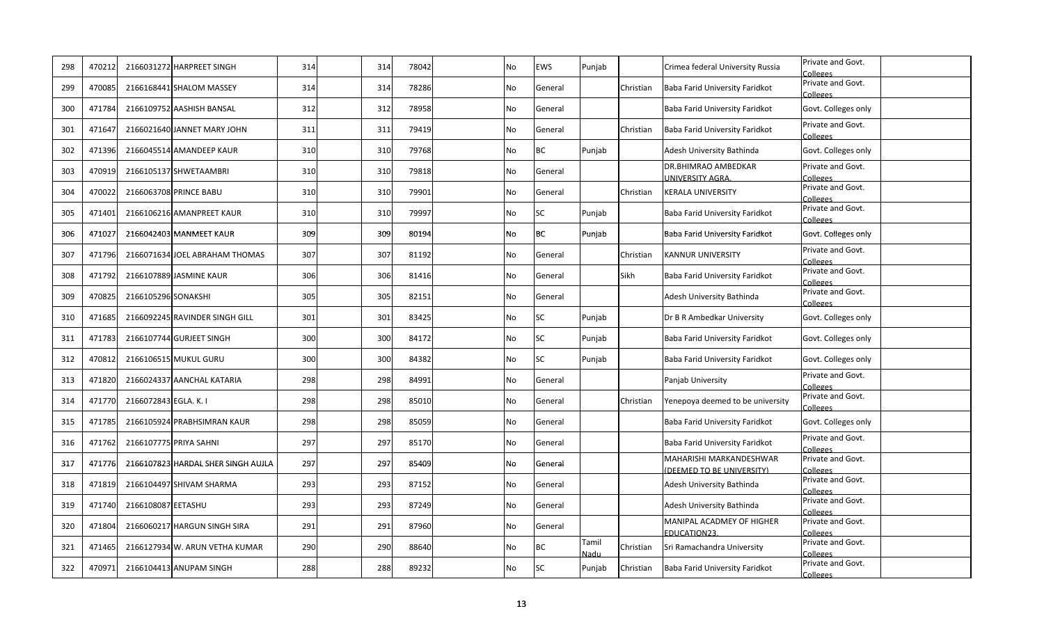| 298 | 470212 |                       | 2166031272 HARPREET SINGH          | 314 | 314<br>78042 | No | EWS       | Punjab        |             | Crimea federal University Russia                    | Private and Govt.<br>Colleges |
|-----|--------|-----------------------|------------------------------------|-----|--------------|----|-----------|---------------|-------------|-----------------------------------------------------|-------------------------------|
| 299 | 470085 |                       | 2166168441 SHALOM MASSEY           | 314 | 314<br>78286 | No | General   |               | Christian   | Baba Farid University Faridkot                      | Private and Govt.<br>Colleges |
| 300 | 471784 |                       | 2166109752 AASHISH BANSAL          | 312 | 312<br>78958 | No | General   |               |             | Baba Farid University Faridkot                      | Govt. Colleges only           |
| 301 | 471647 |                       | 2166021640 JANNET MARY JOHN        | 311 | 311<br>79419 | No | General   |               | Christian   | Baba Farid University Faridkot                      | Private and Govt.<br>Colleges |
| 302 | 471396 |                       | 2166045514 AMANDEEP KAUR           | 310 | 310<br>79768 | No | BC        | Punjab        |             | Adesh University Bathinda                           | Govt. Colleges only           |
| 303 | 470919 |                       | 2166105137 SHWETAAMBRI             | 310 | 79818<br>310 | No | General   |               |             | DR.BHIMRAO AMBEDKAR<br><b>JNIVERSITY AGRA.</b>      | Private and Govt.<br>Colleges |
| 304 | 470022 |                       | 2166063708 PRINCE BABU             | 310 | 310<br>79901 | No | General   |               | Christian   | <b>KERALA UNIVERSITY</b>                            | Private and Govt.<br>Colleges |
| 305 | 471401 |                       | 2166106216 AMANPREET KAUR          | 310 | 310<br>79997 | No | SC        | Punjab        |             | Baba Farid University Faridkot                      | Private and Govt.<br>Colleges |
| 306 | 471027 |                       | 2166042403 MANMEET KAUR            | 309 | 309<br>80194 | No | <b>BC</b> | Punjab        |             | Baba Farid University Faridkot                      | Govt. Colleges only           |
| 307 | 471796 |                       | 2166071634 JOEL ABRAHAM THOMAS     | 307 | 307<br>81192 | No | General   |               | Christian   | <b>KANNUR UNIVERSITY</b>                            | Private and Govt.<br>Colleges |
| 308 | 471792 |                       | 2166107889 JASMINE KAUR            | 306 | 306<br>81416 | No | General   |               | <b>Sikh</b> | Baba Farid University Faridkot                      | Private and Govt.<br>Colleges |
| 309 | 470825 | 2166105296 SONAKSHI   |                                    | 305 | 305<br>82151 | No | General   |               |             | Adesh University Bathinda                           | Private and Govt.<br>Colleges |
| 310 | 471685 |                       | 2166092245 RAVINDER SINGH GILL     | 301 | 301<br>83425 | No | SC        | Punjab        |             | Dr B R Ambedkar University                          | Govt. Colleges only           |
| 311 | 471783 |                       | 2166107744 GURJEET SINGH           | 300 | 300<br>84172 | No | SC        | Punjab        |             | Baba Farid University Faridkot                      | Govt. Colleges only           |
| 312 | 470812 |                       | 2166106515 MUKUL GURU              | 300 | 300<br>84382 | No | SC        | Punjab        |             | Baba Farid University Faridkot                      | Govt. Colleges only           |
| 313 | 471820 |                       | 2166024337 AANCHAL KATARIA         | 298 | 298<br>84991 | No | General   |               |             | Panjab University                                   | Private and Govt.<br>Colleges |
| 314 | 471770 | 2166072843 EGLA. K. I |                                    | 298 | 298<br>85010 | No | General   |               | Christian   | Yenepoya deemed to be university                    | Private and Govt.<br>Colleges |
| 315 | 471785 |                       | 2166105924 PRABHSIMRAN KAUR        | 298 | 298<br>85059 | No | General   |               |             | Baba Farid University Faridkot                      | Govt. Colleges only           |
| 316 | 471762 |                       | 2166107775 PRIYA SAHNI             | 297 | 297<br>85170 | No | General   |               |             | Baba Farid University Faridkot                      | Private and Govt.<br>Colleges |
| 317 | 471776 |                       | 2166107823 HARDAL SHER SINGH AUJLA | 297 | 297<br>85409 | No | General   |               |             | MAHARISHI MARKANDESHWAR<br>DEEMED TO BE UNIVERSITY) | Private and Govt.<br>Colleges |
| 318 | 471819 |                       | 2166104497 SHIVAM SHARMA           | 293 | 293<br>87152 | No | General   |               |             | Adesh University Bathinda                           | Private and Govt.<br>Colleges |
| 319 | 471740 | 2166108087 EETASHU    |                                    | 293 | 293<br>87249 | No | General   |               |             | Adesh University Bathinda                           | Private and Govt.<br>Colleges |
| 320 | 471804 |                       | 2166060217 HARGUN SINGH SIRA       | 291 | 291<br>87960 | No | General   |               |             | MANIPAL ACADMEY OF HIGHER<br>EDUCATION23.           | Private and Govt.<br>Colleges |
| 321 | 471465 |                       | 2166127934 W. ARUN VETHA KUMAR     | 290 | 290<br>88640 | No | ВC        | Tamil<br>Nadu | Christian   | Sri Ramachandra University                          | Private and Govt.<br>Colleges |
| 322 | 470971 |                       | 2166104413 ANUPAM SINGH            | 288 | 288<br>89232 | No | SC        | Punjab        | Christian   | Baba Farid University Faridkot                      | Private and Govt.<br>Colleges |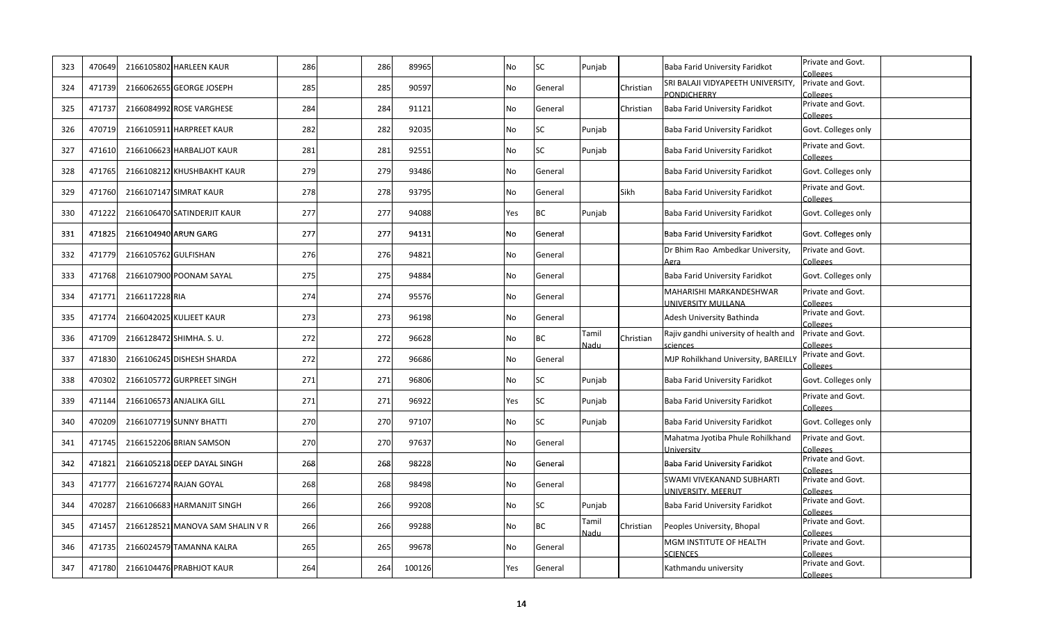| 323 | 470649 |                      | 2166105802 HARLEEN KAUR          | 286 | 286             | 89965         | No        | SC        | Punjab        |           | Baba Farid University Faridkot                         | Private and Govt.<br><b>Colleges</b> |
|-----|--------|----------------------|----------------------------------|-----|-----------------|---------------|-----------|-----------|---------------|-----------|--------------------------------------------------------|--------------------------------------|
| 324 | 471739 |                      | 2166062655 GEORGE JOSEPH         | 285 |                 | 90597<br>285  | No        | General   |               | Christian | SRI BALAJI VIDYAPEETH UNIVERSITY,<br>PONDICHERRY       | Private and Govt.<br>Colleges        |
| 325 | 471737 |                      | 2166084992 ROSE VARGHESE         | 284 | 284             | 91121         | No        | General   |               | Christian | Baba Farid University Faridkot                         | Private and Govt.<br>Colleges        |
| 326 | 470719 |                      | 2166105911 HARPREET KAUR         | 282 | 282             | 92035         | No        | SC        | Punjab        |           | Baba Farid University Faridkot                         | Govt. Colleges only                  |
| 327 | 471610 |                      | 2166106623 HARBALJOT KAUR        | 281 | 281             | 92551         | No        | SC        | Punjab        |           | Baba Farid University Faridkot                         | Private and Govt.<br>Colleges        |
| 328 | 471765 |                      | 2166108212 KHUSHBAKHT KAUR       | 279 | 279             | 93486         | No        | General   |               |           | Baba Farid University Faridkot                         | Govt. Colleges only                  |
| 329 | 471760 |                      | 2166107147 SIMRAT KAUR           | 278 |                 | 278<br>93795  | No        | General   |               | Sikh      | Baba Farid University Faridkot                         | Private and Govt.<br>Colleges        |
| 330 | 471222 |                      | 2166106470 SATINDERJIT KAUR      | 277 | 277             | 94088         | Yes       | BC        | Punjab        |           | Baba Farid University Faridkot                         | Govt. Colleges only                  |
| 331 | 471825 |                      | 2166104940 ARUN GARG             | 277 | 277             | 94131         | <b>No</b> | General   |               |           | Baba Farid University Faridkot                         | Govt. Colleges only                  |
| 332 | 471779 | 2166105762 GULFISHAN |                                  | 276 | 276             | 94821         | No        | General   |               |           | Dr Bhim Rao Ambedkar University,<br>Agra               | Private and Govt.<br>Colleges        |
| 333 | 471768 |                      | 2166107900 POONAM SAYAL          | 275 | 275             | 94884         | <b>No</b> | General   |               |           | Baba Farid University Faridkot                         | Govt. Colleges only                  |
| 334 | 471771 | 2166117228 RIA       |                                  | 274 | 274             | 95576         | <b>No</b> | General   |               |           | MAHARISHI MARKANDESHWAR<br>UNIVERSITY MULLANA          | Private and Govt.<br>Colleges        |
| 335 | 471774 |                      | 2166042025 KULJEET KAUR          | 273 | 273             | 96198         | <b>No</b> | General   |               |           | Adesh University Bathinda                              | Private and Govt.<br>Colleges        |
| 336 | 471709 |                      | 2166128472 SHIMHA. S. U.         | 272 |                 | 272<br>96628  | No        | ВC        | Tamil<br>Nadu | Christian | Rajiv gandhi university of health and<br>sciences      | Private and Govt.<br>Colleges        |
| 337 | 471830 |                      | 2166106245 DISHESH SHARDA        | 272 |                 | 272<br>96686  | No        | General   |               |           | MJP Rohilkhand University, BAREILLY                    | Private and Govt.<br>Colleges        |
| 338 | 470302 |                      | 2166105772 GURPREET SINGH        | 271 | 271             | 96806         | No        | SC        | Punjab        |           | Baba Farid University Faridkot                         | Govt. Colleges only                  |
| 339 | 471144 |                      | 2166106573 ANJALIKA GILL         | 271 | 271             | 96922         | Yes       | SC        | Punjab        |           | Baba Farid University Faridkot                         | Private and Govt.<br>Colleges        |
| 340 | 470209 |                      | 2166107719 SUNNY BHATTI          | 270 | 27 <sub>C</sub> | 97107         | No        | SC        | Punjab        |           | Baba Farid University Faridkot                         | Govt. Colleges only                  |
| 341 | 471745 |                      | 2166152206 BRIAN SAMSON          | 270 | 27 <sub>C</sub> | 97637         | No        | General   |               |           | Mahatma Jyotiba Phule Rohilkhand<br>University         | Private and Govt.<br>Colleges        |
| 342 | 471821 |                      | 2166105218 DEEP DAYAL SINGH      | 268 | 268             | 98228         | <b>No</b> | General   |               |           | Baba Farid University Faridkot                         | Private and Govt.<br>Colleges        |
| 343 | 471777 |                      | 2166167274 RAJAN GOYAL           | 268 | 268             | 98498         | No        | General   |               |           | SWAMI VIVEKANAND SUBHARTI<br><b>JNIVERSITY, MEERUT</b> | Private and Govt.<br>Colleges        |
| 344 | 470287 |                      | 2166106683 HARMANJIT SINGH       | 266 | 266             | 99208         | No        | SC        | Punjab        |           | Baba Farid University Faridkot                         | Private and Govt.<br>Colleges        |
| 345 | 471457 |                      | 2166128521 MANOVA SAM SHALIN V R | 266 | 266             | 99288         | No        | <b>BC</b> | Tamil<br>Nadu | Christian | Peoples University, Bhopal                             | Private and Govt.<br>Colleges        |
| 346 | 471735 |                      | 2166024579 TAMANNA KALRA         | 265 | 265             | 99678         | No        | General   |               |           | MGM INSTITUTE OF HEALTH<br><b>SCIENCES</b>             | Private and Govt.<br>Colleges        |
| 347 | 471780 |                      | 2166104476 PRABHJOT KAUR         | 264 |                 | 264<br>100126 | Yes       | General   |               |           | Kathmandu university                                   | Private and Govt.<br>Colleges        |